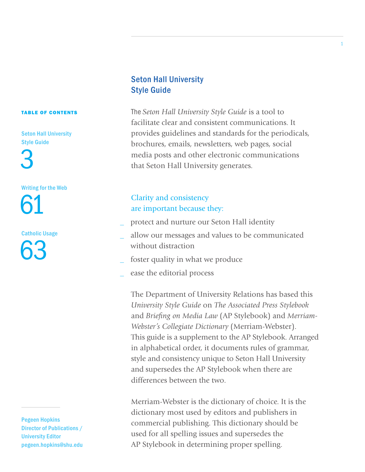#### TABLE OF CONTENTS

Seton Hall University Style Guide

3

### Writing for the Web

61

Catholic Usage 63

Pegeen Hopkins Director of Publications / University Editor pegeen.hopkins@shu.edu

## Seton Hall University Style Guide

The *Seton Hall University Style Guide* is a tool to facilitate clear and consistent communications. It provides guidelines and standards for the periodicals, brochures, emails, newsletters, web pages, social media posts and other electronic communications that Seton Hall University generates.

# Clarity and consistency are important because they:

- \_ protect and nurture our Seton Hall identity
- \_ allow our messages and values to be communicated without distraction
- foster quality in what we produce
- ease the editorial process

The Department of University Relations has based this *University Style Guide* on *The Associated Press Stylebook*  and *Briefing on Media Law* (AP Stylebook) and *Merriam-Webster's Collegiate Dictionary* (Merriam-Webster). This guide is a supplement to the AP Stylebook. Arranged in alphabetical order, it documents rules of grammar, style and consistency unique to Seton Hall University and supersedes the AP Stylebook when there are differences between the two.

Merriam-Webster is the dictionary of choice. It is the dictionary most used by editors and publishers in commercial publishing. This dictionary should be used for all spelling issues and supersedes the AP Stylebook in determining proper spelling.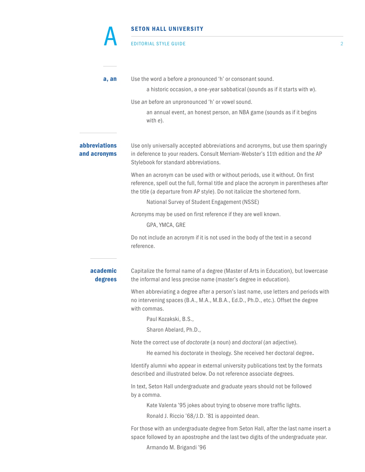#### EDITORIAL STYLE GUIDE 2

A

| a, an                                       | Use the word a before a pronounced 'h' or consonant sound.<br>a historic occasion, a one-year sabbatical (sounds as if it starts with w).                                                                                                              |
|---------------------------------------------|--------------------------------------------------------------------------------------------------------------------------------------------------------------------------------------------------------------------------------------------------------|
|                                             | Use an before an unpronounced 'h' or vowel sound.                                                                                                                                                                                                      |
|                                             | an annual event, an honest person, an NBA game (sounds as if it begins<br>with e).                                                                                                                                                                     |
| <i><b>abbreviations</b></i><br>and acronyms | Use only universally accepted abbreviations and acronyms, but use them sparingly<br>in deference to your readers. Consult Merriam-Webster's 11th edition and the AP<br>Stylebook for standard abbreviations.                                           |
|                                             | When an acronym can be used with or without periods, use it without. On first<br>reference, spell out the full, formal title and place the acronym in parentheses after<br>the title (a departure from AP style). Do not italicize the shortened form. |
|                                             | National Survey of Student Engagement (NSSE)                                                                                                                                                                                                           |
|                                             | Acronyms may be used on first reference if they are well known.                                                                                                                                                                                        |
|                                             | GPA, YMCA, GRE                                                                                                                                                                                                                                         |
|                                             | Do not include an acronym if it is not used in the body of the text in a second<br>reference.                                                                                                                                                          |
| academic<br>degrees                         | Capitalize the formal name of a degree (Master of Arts in Education), but lowercase<br>the informal and less precise name (master's degree in education).                                                                                              |
|                                             | When abbreviating a degree after a person's last name, use letters and periods with<br>no intervening spaces (B.A., M.A., M.B.A., Ed.D., Ph.D., etc.). Offset the degree<br>with commas.                                                               |
|                                             | Paul Kozakski, B.S.,                                                                                                                                                                                                                                   |
|                                             | Sharon Abelard, Ph.D.,                                                                                                                                                                                                                                 |
|                                             | Note the correct use of <i>doctorate</i> (a noun) and <i>doctoral</i> (an adjective).                                                                                                                                                                  |
|                                             | He earned his doctorate in theology. She received her doctoral degree.                                                                                                                                                                                 |
|                                             | Identify alumni who appear in external university publications text by the formats<br>described and illustrated below. Do not reference associate degrees.                                                                                             |
|                                             | In text, Seton Hall undergraduate and graduate years should not be followed<br>by a comma.                                                                                                                                                             |
|                                             | Kate Valenta '95 jokes about trying to observe more traffic lights.                                                                                                                                                                                    |
|                                             | Ronald J. Riccio '68/J.D. '81 is appointed dean.                                                                                                                                                                                                       |
|                                             | For those with an undergraduate degree from Seton Hall, after the last name insert a<br>space followed by an apostrophe and the last two digits of the undergraduate year.<br>Armando M. Brigandi '96                                                  |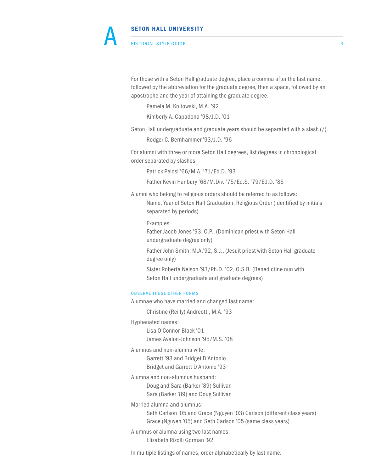#### EDITORIAL STYLE GUIDE 3

 For those with a Seton Hall graduate degree, place a comma after the last name, followed by the abbreviation for the graduate degree, then a space, followed by an apostrophe and the year of attaining the graduate degree.

Pamela M. Knitowski, M.A. '92

Kimberly A. Capadona '98/J.D. '01

Seton Hall undergraduate and graduate years should be separated with a slash (/).

Rodger C. Bernhammer '93/J.D. '96

For alumni with three or more Seton Hall degrees, list degrees in chronological order separated by slashes.

Patrick Pelosi '66/M.A. '71/Ed.D. '93

Father Kevin Hanbury '68/M.Div. '75/Ed.S. '79/Ed.D. '85

Alumni who belong to religious orders should be referred to as follows: Name, Year of Seton Hall Graduation, Religious Order (identified by initials separated by periods).

Examples*:*

 Father Jacob Jones '93, O.P., (Dominican priest with Seton Hall undergraduate degree only)

 Father John Smith, M.A.'92, S.J., (Jesuit priest with Seton Hall graduate degree only)

 Sister Roberta Nelson '93/Ph.D. '02, O.S.B. (Benedictine nun with Seton Hall undergraduate and graduate degrees)

#### OBSERVE THESE OTHER FORMS

Alumnae who have married and changed last name:

Christine (Reilly) Andreotti, M.A. '93

Hyphenated names:

 Lisa O'Connor-Black '01 James Avalon-Johnson '95/M.S. '08

Alumnus and non-alumna wife:

 Garrett '93 and Bridget D'Antonio Bridget and Garrett D'Antonio '93

Alumna and non-alumnus husband:

Doug and Sara (Barker '89) Sullivan

Sara (Barker '89) and Doug Sullivan

Married alumna and alumnus:

 Seth Carlson '05 and Grace (Nguyen '03) Carlson (different class years) Grace (Nguyen '05) and Seth Carlson '05 (same class years)

Alumnus or alumna using two last names: Elizabeth Rizolli Gorman '92

In multiple listings of names, order alphabetically by last name.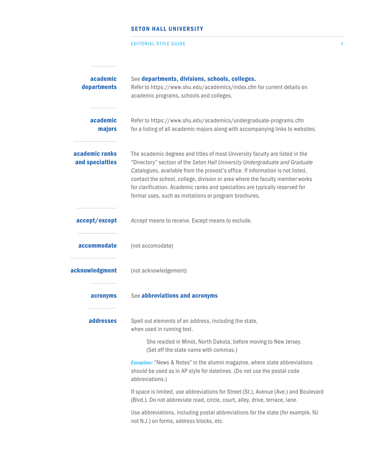#### EDITORIAL STYLE GUIDE 4

| academic<br>departments           | See departments, divisions, schools, colleges.<br>Refer to https://www.shu.edu/academics/index.cfm for current details on<br>academic programs, schools and colleges.                                                                                                                                                                                                                                                                                                   |
|-----------------------------------|-------------------------------------------------------------------------------------------------------------------------------------------------------------------------------------------------------------------------------------------------------------------------------------------------------------------------------------------------------------------------------------------------------------------------------------------------------------------------|
| academic<br>majors                | Refer to https://www.shu.edu/academics/undergraduate-programs.cfm<br>for a listing of all academic majors along with accompanying links to websites.                                                                                                                                                                                                                                                                                                                    |
| academic ranks<br>and specialties | The academic degrees and titles of most University faculty are listed in the<br>"Directory" section of the Seton Hall University Undergraduate and Graduate<br>Catalogues, available from the provost's office. If information is not listed,<br>contact the school, college, division or area where the faculty member works<br>for clarification. Academic ranks and specialties are typically reserved for<br>formal uses, such as invitations or program brochures. |
| accept/except                     | Accept means to receive. Except means to exclude.                                                                                                                                                                                                                                                                                                                                                                                                                       |
| accommodate                       | (not accomodate)                                                                                                                                                                                                                                                                                                                                                                                                                                                        |
| acknowledgment                    | (not acknowledgement)                                                                                                                                                                                                                                                                                                                                                                                                                                                   |
| acronyms                          | See abbreviations and acronyms                                                                                                                                                                                                                                                                                                                                                                                                                                          |
| addresses                         | Spell out elements of an address, including the state,<br>when used in running text.                                                                                                                                                                                                                                                                                                                                                                                    |
|                                   | She resided in Minot, North Dakota, before moving to New Jersey.<br>(Set off the state name with commas.)                                                                                                                                                                                                                                                                                                                                                               |
|                                   | <b>Exception:</b> "News & Notes" in the alumni magazine, where state abbreviations<br>should be used as in AP style for datelines. (Do not use the postal code<br>abbreviations.)                                                                                                                                                                                                                                                                                       |
|                                   | If space is limited, use abbreviations for Street (St.), Avenue (Ave.) and Boulevard<br>(Blvd.). Do not abbreviate road, circle, court, alley, drive, terrace, lane.                                                                                                                                                                                                                                                                                                    |
|                                   | Use abbreviations, including postal abbreviations for the state (for example, NJ<br>not N.J.) on forms, address blocks, etc.                                                                                                                                                                                                                                                                                                                                            |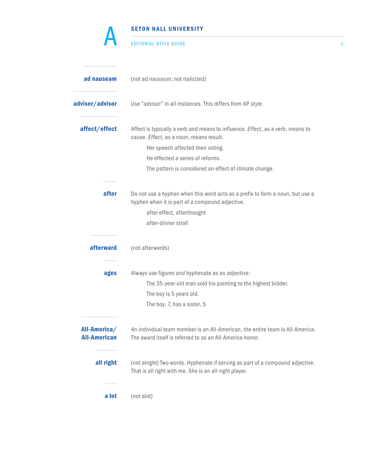| <b>EDITORIAL STYLE GUIDE</b><br>ad nauseam<br>(not ad nauseum; not italicized)<br>Use "advisor" in all instances. This differs from AP style.<br>affect/effect<br>Affect is typically a verb and means to influence. Effect, as a verb, means to<br>cause. Effect, as a noun, means result.<br>Her speech affected their voting.<br>He effected a series of reforms.<br>The pattern is considered an effect of climate change.<br>after<br>Do not use a hyphen when this word acts as a prefix to form a noun, but use a<br>hyphen when it is part of a compound adjective.<br>after effect, afterthought<br>after-dinner stroll<br>afterward<br>(not afterwards) |
|-------------------------------------------------------------------------------------------------------------------------------------------------------------------------------------------------------------------------------------------------------------------------------------------------------------------------------------------------------------------------------------------------------------------------------------------------------------------------------------------------------------------------------------------------------------------------------------------------------------------------------------------------------------------|
|                                                                                                                                                                                                                                                                                                                                                                                                                                                                                                                                                                                                                                                                   |
| adviser/advisor                                                                                                                                                                                                                                                                                                                                                                                                                                                                                                                                                                                                                                                   |
|                                                                                                                                                                                                                                                                                                                                                                                                                                                                                                                                                                                                                                                                   |
|                                                                                                                                                                                                                                                                                                                                                                                                                                                                                                                                                                                                                                                                   |
|                                                                                                                                                                                                                                                                                                                                                                                                                                                                                                                                                                                                                                                                   |
|                                                                                                                                                                                                                                                                                                                                                                                                                                                                                                                                                                                                                                                                   |
|                                                                                                                                                                                                                                                                                                                                                                                                                                                                                                                                                                                                                                                                   |
|                                                                                                                                                                                                                                                                                                                                                                                                                                                                                                                                                                                                                                                                   |
|                                                                                                                                                                                                                                                                                                                                                                                                                                                                                                                                                                                                                                                                   |
|                                                                                                                                                                                                                                                                                                                                                                                                                                                                                                                                                                                                                                                                   |
|                                                                                                                                                                                                                                                                                                                                                                                                                                                                                                                                                                                                                                                                   |
| Always use figures and hyphenate as an adjective:<br>ages                                                                                                                                                                                                                                                                                                                                                                                                                                                                                                                                                                                                         |
| The 35-year-old man sold his painting to the highest bidder.                                                                                                                                                                                                                                                                                                                                                                                                                                                                                                                                                                                                      |
| The boy is 5 years old.                                                                                                                                                                                                                                                                                                                                                                                                                                                                                                                                                                                                                                           |
| The boy, 7, has a sister, 5                                                                                                                                                                                                                                                                                                                                                                                                                                                                                                                                                                                                                                       |
| All-America/<br>An individual team member is an All-American, the entire team is All-America.<br><b>All-American</b><br>The award itself is referred to as an All-America honor.                                                                                                                                                                                                                                                                                                                                                                                                                                                                                  |
| all right<br>(not alright) Two words. Hyphenate if serving as part of a compound adjective.<br>That is all right with me. She is an all-right player.                                                                                                                                                                                                                                                                                                                                                                                                                                                                                                             |
| a lot<br>(not alot)                                                                                                                                                                                                                                                                                                                                                                                                                                                                                                                                                                                                                                               |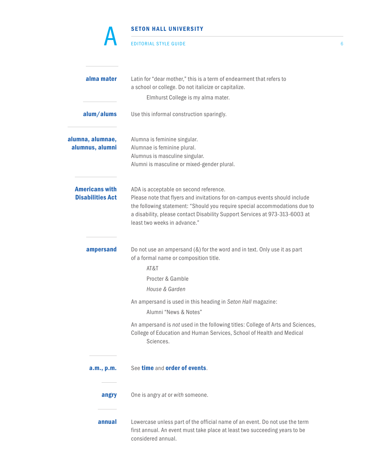|                                                  | <b>SETON HALL UNIVERSITY</b>                                                                                                                                                                                                                                                                                       |   |
|--------------------------------------------------|--------------------------------------------------------------------------------------------------------------------------------------------------------------------------------------------------------------------------------------------------------------------------------------------------------------------|---|
|                                                  | <b>EDITORIAL STYLE GUIDE</b>                                                                                                                                                                                                                                                                                       | 6 |
| alma mater                                       | Latin for "dear mother," this is a term of endearment that refers to<br>a school or college. Do not italicize or capitalize.<br>Elmhurst College is my alma mater.                                                                                                                                                 |   |
| alum/alums                                       | Use this informal construction sparingly.                                                                                                                                                                                                                                                                          |   |
| alumna, alumnae,<br>alumnus, alumni              | Alumna is feminine singular.<br>Alumnae is feminine plural.<br>Alumnus is masculine singular.<br>Alumni is masculine or mixed-gender plural.                                                                                                                                                                       |   |
| <b>Americans with</b><br><b>Disabilities Act</b> | ADA is acceptable on second reference.<br>Please note that flyers and invitations for on-campus events should include<br>the following statement: "Should you require special accommodations due to<br>a disability, please contact Disability Support Services at 973-313-6003 at<br>least two weeks in advance." |   |
| ampersand                                        | Do not use an ampersand (&) for the word and in text. Only use it as part<br>of a formal name or composition title.<br>AT&T<br>Procter & Gamble<br>House & Garden                                                                                                                                                  |   |
|                                                  | An ampersand is used in this heading in Seton Hall magazine:<br>Alumni "News & Notes"                                                                                                                                                                                                                              |   |
|                                                  | An ampersand is not used in the following titles: College of Arts and Sciences,<br>College of Education and Human Services, School of Health and Medical<br>Sciences.                                                                                                                                              |   |
| a.m., p.m.                                       | See time and order of events.                                                                                                                                                                                                                                                                                      |   |
| angry                                            | One is angry at or with someone.                                                                                                                                                                                                                                                                                   |   |
| annual                                           | Lowercase unless part of the official name of an event. Do not use the term<br>first annual. An event must take place at least two succeeding years to be<br>considered annual.                                                                                                                                    |   |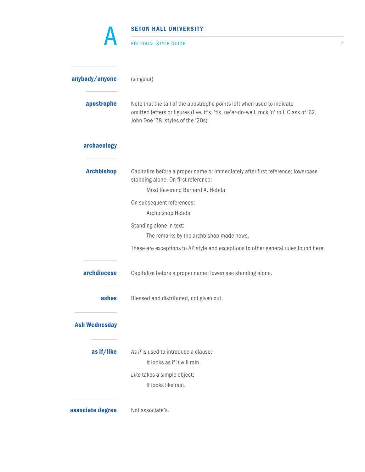| <b>SETON HALL UNIVERSITY</b>                                                                                                                                                                              |  |
|-----------------------------------------------------------------------------------------------------------------------------------------------------------------------------------------------------------|--|
| <b>EDITORIAL STYLE GUIDE</b>                                                                                                                                                                              |  |
| (singular)                                                                                                                                                                                                |  |
| Note that the tail of the apostrophe points left when used to indicate<br>omitted letters or figures (I've, it's, 'tis, ne'er-do-well, rock 'n' roll, Class of '62,<br>John Doe '78, styles of the '20s). |  |
|                                                                                                                                                                                                           |  |
| Capitalize before a proper name or immediately after first reference; lowercase<br>standing alone. On first reference:<br>Most Reverend Bernard A. Hebda                                                  |  |
| On subsequent references:                                                                                                                                                                                 |  |
| Archbishop Hebda                                                                                                                                                                                          |  |
| Standing alone in text:                                                                                                                                                                                   |  |
| The remarks by the archbishop made news.                                                                                                                                                                  |  |
| These are exceptions to AP style and exceptions to other general rules found here.                                                                                                                        |  |
| Capitalize before a proper name; lowercase standing alone.                                                                                                                                                |  |
| Blessed and distributed, not given out.                                                                                                                                                                   |  |
|                                                                                                                                                                                                           |  |
| As if is used to introduce a clause:                                                                                                                                                                      |  |
| It looks as if it will rain.                                                                                                                                                                              |  |
| Like takes a simple object:                                                                                                                                                                               |  |
| It looks like rain.                                                                                                                                                                                       |  |
| Not associate's.                                                                                                                                                                                          |  |
|                                                                                                                                                                                                           |  |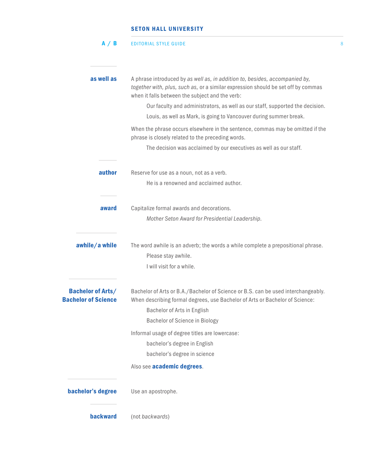| A / B                                                  | <b>EDITORIAL STYLE GUIDE</b>                                                                                                                                                                                        | 8 |
|--------------------------------------------------------|---------------------------------------------------------------------------------------------------------------------------------------------------------------------------------------------------------------------|---|
|                                                        |                                                                                                                                                                                                                     |   |
| as well as                                             | A phrase introduced by as well as, in addition to, besides, accompanied by,<br>together with, plus, such as, or a similar expression should be set off by commas<br>when it falls between the subject and the verb: |   |
|                                                        | Our faculty and administrators, as well as our staff, supported the decision.                                                                                                                                       |   |
|                                                        | Louis, as well as Mark, is going to Vancouver during summer break.                                                                                                                                                  |   |
|                                                        | When the phrase occurs elsewhere in the sentence, commas may be omitted if the<br>phrase is closely related to the preceding words.                                                                                 |   |
|                                                        | The decision was acclaimed by our executives as well as our staff.                                                                                                                                                  |   |
| author                                                 | Reserve for use as a noun, not as a verb.                                                                                                                                                                           |   |
|                                                        | He is a renowned and acclaimed author.                                                                                                                                                                              |   |
| award                                                  | Capitalize formal awards and decorations.                                                                                                                                                                           |   |
|                                                        | Mother Seton Award for Presidential Leadership.                                                                                                                                                                     |   |
| awhile/a while                                         | The word awhile is an adverb; the words a while complete a prepositional phrase.<br>Please stay awhile.                                                                                                             |   |
|                                                        | I will visit for a while.                                                                                                                                                                                           |   |
| <b>Bachelor of Arts/</b><br><b>Bachelor of Science</b> | Bachelor of Arts or B.A./Bachelor of Science or B.S. can be used interchangeably.<br>When describing formal degrees, use Bachelor of Arts or Bachelor of Science:                                                   |   |
|                                                        | Bachelor of Arts in English                                                                                                                                                                                         |   |
|                                                        | <b>Bachelor of Science in Biology</b>                                                                                                                                                                               |   |
|                                                        | Informal usage of degree titles are lowercase:                                                                                                                                                                      |   |
|                                                        | bachelor's degree in English                                                                                                                                                                                        |   |
|                                                        | bachelor's degree in science                                                                                                                                                                                        |   |
|                                                        | Also see academic degrees.                                                                                                                                                                                          |   |
| bachelor's degree                                      | Use an apostrophe.                                                                                                                                                                                                  |   |
| <b>backward</b>                                        | (not backwards)                                                                                                                                                                                                     |   |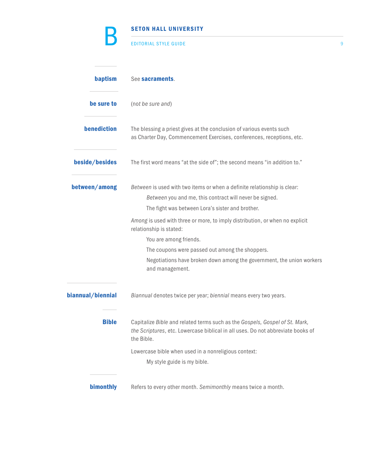|                   | <b>SETON HALL UNIVERSITY</b>                                                                                                                                                            |   |
|-------------------|-----------------------------------------------------------------------------------------------------------------------------------------------------------------------------------------|---|
|                   | <b>EDITORIAL STYLE GUIDE</b>                                                                                                                                                            | 9 |
| baptism           | See sacraments.                                                                                                                                                                         |   |
| be sure to        | (not be sure and)                                                                                                                                                                       |   |
| benediction       | The blessing a priest gives at the conclusion of various events such<br>as Charter Day, Commencement Exercises, conferences, receptions, etc.                                           |   |
| beside/besides    | The first word means "at the side of"; the second means "in addition to."                                                                                                               |   |
| between/among     | Between is used with two items or when a definite relationship is clear:<br>Between you and me, this contract will never be signed.<br>The fight was between Lora's sister and brother. |   |
|                   | Among is used with three or more, to imply distribution, or when no explicit<br>relationship is stated:                                                                                 |   |
|                   | You are among friends.                                                                                                                                                                  |   |
|                   | The coupons were passed out among the shoppers.                                                                                                                                         |   |
|                   | Negotiations have broken down among the government, the union workers<br>and management.                                                                                                |   |
| biannual/biennial | Biannual denotes twice per year; biennial means every two years.                                                                                                                        |   |
| <b>Bible</b>      | Capitalize Bible and related terms such as the Gospels, Gospel of St. Mark,<br>the Scriptures, etc. Lowercase biblical in all uses. Do not abbreviate books of<br>the Bible.            |   |
|                   | Lowercase bible when used in a nonreligious context:                                                                                                                                    |   |
|                   | My style guide is my bible.                                                                                                                                                             |   |
|                   |                                                                                                                                                                                         |   |
| bimonthly         | Refers to every other month. Semimonthly means twice a month.                                                                                                                           |   |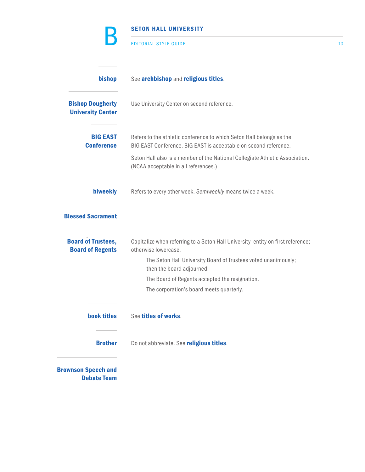|                                                      | <b>SETON HALL UNIVERSITY</b>                                                                                                             |    |
|------------------------------------------------------|------------------------------------------------------------------------------------------------------------------------------------------|----|
|                                                      | <b>EDITORIAL STYLE GUIDE</b>                                                                                                             | 10 |
| bishop                                               | See archbishop and religious titles.                                                                                                     |    |
| <b>Bishop Dougherty</b><br><b>University Center</b>  | Use University Center on second reference.                                                                                               |    |
| <b>BIG EAST</b><br><b>Conference</b>                 | Refers to the athletic conference to which Seton Hall belongs as the<br>BIG EAST Conference. BIG EAST is acceptable on second reference. |    |
|                                                      | Seton Hall also is a member of the National Collegiate Athletic Association.<br>(NCAA acceptable in all references.)                     |    |
| biweekly                                             | Refers to every other week. Semiweekly means twice a week.                                                                               |    |
| <b>Blessed Sacrament</b>                             |                                                                                                                                          |    |
| <b>Board of Trustees,</b><br><b>Board of Regents</b> | Capitalize when referring to a Seton Hall University entity on first reference;<br>otherwise lowercase.                                  |    |
|                                                      | The Seton Hall University Board of Trustees voted unanimously;<br>then the board adjourned.                                              |    |
|                                                      | The Board of Regents accepted the resignation.                                                                                           |    |
|                                                      | The corporation's board meets quarterly.                                                                                                 |    |
| book titles                                          | See titles of works.                                                                                                                     |    |
| <b>Brother</b>                                       | Do not abbreviate. See religious titles.                                                                                                 |    |
| <b>Brownson Speech and</b><br><b>Debate Team</b>     |                                                                                                                                          |    |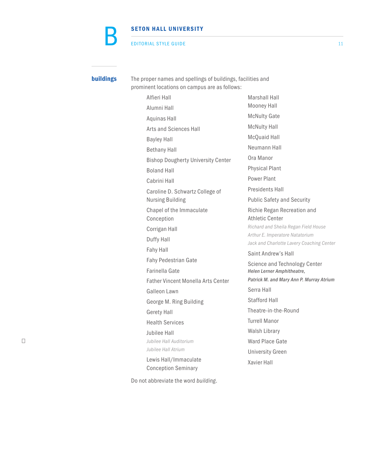#### EDITORIAL STYLE GUIDE 11

B

**buildings** The proper names and spellings of buildings, facilities and prominent locations on campus are as follows:

 Alfieri Hall Alumni Hall Aquinas Hall Arts and Sciences Hall Bayley Hall Bethany Hall Bishop Dougherty University Center Boland Hall Cabrini Hall Caroline D. Schwartz College of Nursing Building Chapel of the Immaculate Conception Corrigan Hall Duffy Hall Fahy Hall Fahy Pedestrian Gate Farinella Gate Father Vincent Monella Arts Center Galleon Lawn George M. Ring Building Gerety Hall Health Services Jubilee Hall □ *Jubilee Hall Auditorium Jubilee Hall Atrium* Lewis Hall/Immaculate Conception Seminary

Do not abbreviate the word *building*.

Mooney Hall McNulty Gate McNulty Hall McQuaid Hall Neumann Hall Ora Manor Physical Plant Power Plant Presidents Hall Public Safety and Security Richie Regan Recreation and Athletic Center *Richard and Sheila Regan Field House Arthur E. Imperatore Natatorium Jack and Charlotte Lavery Coaching Center* Saint Andrew's Hall Science and Technology Center *Helen Lerner Amphitheatre, Patrick M. and Mary Ann P. Murray Atrium* Serra Hall Stafford Hall Theatre-in-the-Round Turrell Manor

Marshall Hall

Walsh Library Ward Place Gate University Green

Xavier Hall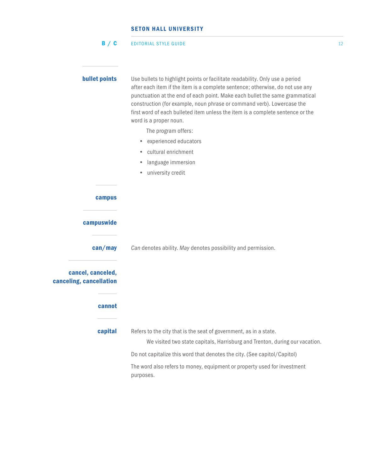|  | B / C | <b>EDITORIAL STYLE GUIDE</b> |  |
|--|-------|------------------------------|--|
|--|-------|------------------------------|--|

| <b>bullet points</b>                                   | Use bullets to highlight points or facilitate readability. Only use a period<br>after each item if the item is a complete sentence; otherwise, do not use any<br>punctuation at the end of each point. Make each bullet the same grammatical<br>construction (for example, noun phrase or command verb). Lowercase the<br>first word of each bulleted item unless the item is a complete sentence or the<br>word is a proper noun. |
|--------------------------------------------------------|------------------------------------------------------------------------------------------------------------------------------------------------------------------------------------------------------------------------------------------------------------------------------------------------------------------------------------------------------------------------------------------------------------------------------------|
|                                                        | The program offers:                                                                                                                                                                                                                                                                                                                                                                                                                |
|                                                        | experienced educators<br>$\bullet$                                                                                                                                                                                                                                                                                                                                                                                                 |
|                                                        | cultural enrichment<br>$\bullet$                                                                                                                                                                                                                                                                                                                                                                                                   |
|                                                        | language immersion<br>۰                                                                                                                                                                                                                                                                                                                                                                                                            |
|                                                        | university credit<br>۰                                                                                                                                                                                                                                                                                                                                                                                                             |
| campus                                                 |                                                                                                                                                                                                                                                                                                                                                                                                                                    |
| campuswide                                             |                                                                                                                                                                                                                                                                                                                                                                                                                                    |
| can/may                                                | Can denotes ability. May denotes possibility and permission.                                                                                                                                                                                                                                                                                                                                                                       |
| cancel, canceled,<br>canceling, cancellation<br>cannot |                                                                                                                                                                                                                                                                                                                                                                                                                                    |
| capital                                                | Refers to the city that is the seat of government, as in a state.                                                                                                                                                                                                                                                                                                                                                                  |
|                                                        | We visited two state capitals, Harrisburg and Trenton, during our vacation.                                                                                                                                                                                                                                                                                                                                                        |
|                                                        | Do not capitalize this word that denotes the city. (See capitol/Capitol)                                                                                                                                                                                                                                                                                                                                                           |
|                                                        | The word also refers to money, equipment or property used for investment<br>purposes.                                                                                                                                                                                                                                                                                                                                              |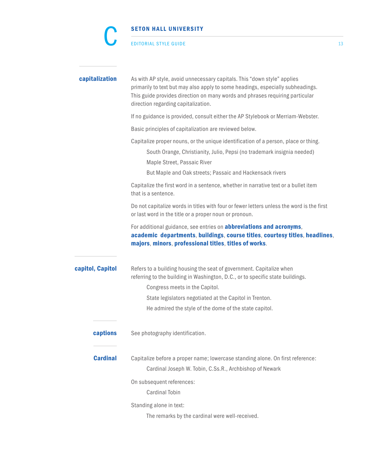|                  | <b>SETON HALL UNIVERSITY</b>                                                                                                                                                                                                                                                     |    |
|------------------|----------------------------------------------------------------------------------------------------------------------------------------------------------------------------------------------------------------------------------------------------------------------------------|----|
|                  | <b>EDITORIAL STYLE GUIDE</b>                                                                                                                                                                                                                                                     | 13 |
| capitalization   | As with AP style, avoid unnecessary capitals. This "down style" applies<br>primarily to text but may also apply to some headings, especially subheadings.<br>This guide provides direction on many words and phrases requiring particular<br>direction regarding capitalization. |    |
|                  | If no guidance is provided, consult either the AP Stylebook or Merriam-Webster.                                                                                                                                                                                                  |    |
|                  | Basic principles of capitalization are reviewed below.                                                                                                                                                                                                                           |    |
|                  | Capitalize proper nouns, or the unique identification of a person, place or thing.<br>South Orange, Christianity, Julio, Pepsi (no trademark insignia needed)<br>Maple Street, Passaic River<br>But Maple and Oak streets; Passaic and Hackensack rivers                         |    |
|                  | Capitalize the first word in a sentence, whether in narrative text or a bullet item<br>that is a sentence.                                                                                                                                                                       |    |
|                  | Do not capitalize words in titles with four or fewer letters unless the word is the first<br>or last word in the title or a proper noun or pronoun.                                                                                                                              |    |
|                  | For additional guidance, see entries on <b>abbreviations and acronyms</b> ,<br>academic departments, buildings, course titles, courtesy titles, headlines,<br>majors, minors, professional titles, titles of works.                                                              |    |
| capitol, Capitol | Refers to a building housing the seat of government. Capitalize when<br>referring to the building in Washington, D.C., or to specific state buildings.                                                                                                                           |    |
|                  | Congress meets in the Capitol.                                                                                                                                                                                                                                                   |    |
|                  | State legislators negotiated at the Capitol in Trenton.                                                                                                                                                                                                                          |    |
|                  | He admired the style of the dome of the state capitol.                                                                                                                                                                                                                           |    |
| captions         | See photography identification.                                                                                                                                                                                                                                                  |    |
| <b>Cardinal</b>  | Capitalize before a proper name; lowercase standing alone. On first reference:<br>Cardinal Joseph W. Tobin, C.Ss.R., Archbishop of Newark                                                                                                                                        |    |
|                  | On subsequent references:<br><b>Cardinal Tobin</b>                                                                                                                                                                                                                               |    |
|                  | Standing alone in text:<br>The remarks by the cardinal were well-received.                                                                                                                                                                                                       |    |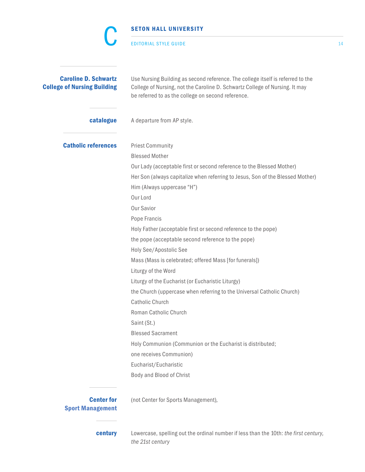|                                                                   | <b>SETON HALL UNIVERSITY</b>                                                                                                                                                                                         |    |
|-------------------------------------------------------------------|----------------------------------------------------------------------------------------------------------------------------------------------------------------------------------------------------------------------|----|
|                                                                   | EDITORIAL STYLE GUIDE                                                                                                                                                                                                | 14 |
| <b>Caroline D. Schwartz</b><br><b>College of Nursing Building</b> | Use Nursing Building as second reference. The college itself is referred to the<br>College of Nursing, not the Caroline D. Schwartz College of Nursing. It may<br>be referred to as the college on second reference. |    |
| catalogue                                                         | A departure from AP style.                                                                                                                                                                                           |    |
| <b>Catholic references</b>                                        | <b>Priest Community</b><br><b>Blessed Mother</b>                                                                                                                                                                     |    |
|                                                                   | Our Lady (acceptable first or second reference to the Blessed Mother)<br>Her Son (always capitalize when referring to Jesus, Son of the Blessed Mother)<br>Him (Always uppercase "H")                                |    |
|                                                                   | Our Lord<br>Our Savior<br>Pope Francis                                                                                                                                                                               |    |
|                                                                   | Holy Father (acceptable first or second reference to the pope)<br>the pope (acceptable second reference to the pope)<br>Holy See/Apostolic See                                                                       |    |
|                                                                   | Mass (Mass is celebrated; offered Mass [for funerals])<br>Liturgy of the Word<br>Liturgy of the Eucharist (or Eucharistic Liturgy)                                                                                   |    |
|                                                                   | the Church (uppercase when referring to the Universal Catholic Church)<br>Catholic Church                                                                                                                            |    |
|                                                                   | Roman Catholic Church<br>Saint (St.)<br><b>Blessed Sacrament</b>                                                                                                                                                     |    |
|                                                                   | Holy Communion (Communion or the Eucharist is distributed;<br>one receives Communion)                                                                                                                                |    |
|                                                                   | Eucharist/Eucharistic<br>Body and Blood of Christ                                                                                                                                                                    |    |
| <b>Center for</b><br><b>Sport Management</b>                      | (not Center for Sports Management),                                                                                                                                                                                  |    |
| century                                                           | Lowercase, spelling out the ordinal number if less than the 10th: the first century,<br>the 21st century                                                                                                             |    |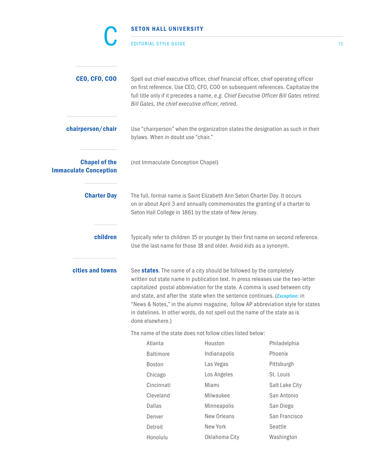|                                                                                                                                                                                                                                                                                                                                                                                                                                                                                                                                       | <b>SETON HALL UNIVERSITY</b>                      |                                                                                                                                                                                                                   |                                                                                                                                                                           |    |
|---------------------------------------------------------------------------------------------------------------------------------------------------------------------------------------------------------------------------------------------------------------------------------------------------------------------------------------------------------------------------------------------------------------------------------------------------------------------------------------------------------------------------------------|---------------------------------------------------|-------------------------------------------------------------------------------------------------------------------------------------------------------------------------------------------------------------------|---------------------------------------------------------------------------------------------------------------------------------------------------------------------------|----|
|                                                                                                                                                                                                                                                                                                                                                                                                                                                                                                                                       | <b>EDITORIAL STYLE GUIDE</b>                      |                                                                                                                                                                                                                   |                                                                                                                                                                           | 15 |
| <b>CEO, CFO, COO</b>                                                                                                                                                                                                                                                                                                                                                                                                                                                                                                                  | Bill Gates, the chief executive officer, retired. | Spell out chief executive officer, chief financial officer, chief operating officer                                                                                                                               | on first reference. Use CEO, CFO, COO on subsequent references. Capitalize the<br>full title only if it precedes a name, e.g. Chief Executive Officer Bill Gates retired. |    |
| chairperson/chair                                                                                                                                                                                                                                                                                                                                                                                                                                                                                                                     | bylaws. When in doubt use "chair."                |                                                                                                                                                                                                                   | Use "chairperson" when the organization states the designation as such in their                                                                                           |    |
| <b>Chapel of the</b><br><b>Immaculate Conception</b>                                                                                                                                                                                                                                                                                                                                                                                                                                                                                  | (not Immaculate Conception Chapel)                |                                                                                                                                                                                                                   |                                                                                                                                                                           |    |
| <b>Charter Day</b>                                                                                                                                                                                                                                                                                                                                                                                                                                                                                                                    |                                                   | The full, formal name is Saint Elizabeth Ann Seton Charter Day. It occurs<br>on or about April 3 and annually commemorates the granting of a charter to<br>Seton Hall College in 1861 by the state of New Jersey. |                                                                                                                                                                           |    |
| children                                                                                                                                                                                                                                                                                                                                                                                                                                                                                                                              |                                                   | Use the last name for those 18 and older. Avoid kids as a synonym.                                                                                                                                                | Typically refer to children 15 or younger by their first name on second reference.                                                                                        |    |
| cities and towns<br>See states. The name of a city should be followed by the completely<br>written out state name in publication text. In press releases use the two-letter<br>capitalized postal abbreviation for the state. A comma is used between city<br>and state, and after the state when the sentence continues. ( <i>Exception:</i> in<br>"News & Notes," in the alumni magazine, follow AP abbreviation style for states<br>in datelines. In other words, do not spell out the name of the state as is<br>done elsewhere.) |                                                   |                                                                                                                                                                                                                   |                                                                                                                                                                           |    |
|                                                                                                                                                                                                                                                                                                                                                                                                                                                                                                                                       |                                                   | The name of the state does not follow cities listed below:                                                                                                                                                        |                                                                                                                                                                           |    |
|                                                                                                                                                                                                                                                                                                                                                                                                                                                                                                                                       | Atlanta                                           | Houston                                                                                                                                                                                                           | Philadelphia                                                                                                                                                              |    |
|                                                                                                                                                                                                                                                                                                                                                                                                                                                                                                                                       | <b>Baltimore</b>                                  | Indianapolis                                                                                                                                                                                                      | Phoenix                                                                                                                                                                   |    |
|                                                                                                                                                                                                                                                                                                                                                                                                                                                                                                                                       | Boston                                            | Las Vegas                                                                                                                                                                                                         | Pittsburgh                                                                                                                                                                |    |
|                                                                                                                                                                                                                                                                                                                                                                                                                                                                                                                                       | Chicago                                           | Los Angeles                                                                                                                                                                                                       | St. Louis                                                                                                                                                                 |    |
|                                                                                                                                                                                                                                                                                                                                                                                                                                                                                                                                       | Cincinnati                                        | Miami                                                                                                                                                                                                             | Salt Lake City                                                                                                                                                            |    |
|                                                                                                                                                                                                                                                                                                                                                                                                                                                                                                                                       | Cleveland                                         | Milwaukee                                                                                                                                                                                                         | San Antonio                                                                                                                                                               |    |
|                                                                                                                                                                                                                                                                                                                                                                                                                                                                                                                                       | Dallas                                            | Minneapolis                                                                                                                                                                                                       | San Diego                                                                                                                                                                 |    |
|                                                                                                                                                                                                                                                                                                                                                                                                                                                                                                                                       | Denver                                            | New Orleans                                                                                                                                                                                                       | San Francisco                                                                                                                                                             |    |
|                                                                                                                                                                                                                                                                                                                                                                                                                                                                                                                                       | Detroit                                           | New York                                                                                                                                                                                                          | Seattle                                                                                                                                                                   |    |
|                                                                                                                                                                                                                                                                                                                                                                                                                                                                                                                                       | Honolulu                                          | Oklahoma City                                                                                                                                                                                                     | Washington                                                                                                                                                                |    |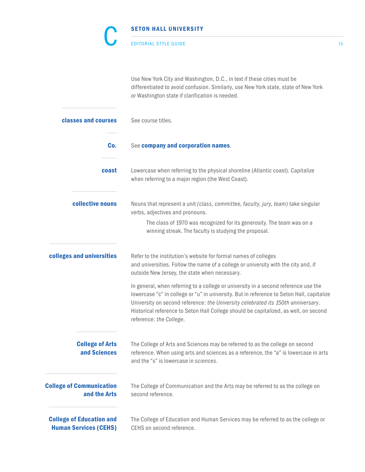| <b>SETON HALL UNIVERSITY</b> |
|------------------------------|
| <b>EDITORIAL STYLE GUIDE</b> |

EDITORIAL STYLE GUIDE 16

Use New York City and Washington, D.C., in text if these cities must be differentiated to avoid confusion. Similarly, use New York state, state of New York or Washington state if clarification is needed.

| classes and courses                                             | See course titles.                                                                                                                                                                                                                                                                                                                                                                      |
|-----------------------------------------------------------------|-----------------------------------------------------------------------------------------------------------------------------------------------------------------------------------------------------------------------------------------------------------------------------------------------------------------------------------------------------------------------------------------|
| Co.                                                             | See company and corporation names.                                                                                                                                                                                                                                                                                                                                                      |
| coast                                                           | Lowercase when referring to the physical shoreline (Atlantic coast). Capitalize<br>when referring to a major region (the West Coast).                                                                                                                                                                                                                                                   |
| collective nouns                                                | Nouns that represent a unit (class, committee, faculty, jury, team) take singular<br>verbs, adjectives and pronouns.                                                                                                                                                                                                                                                                    |
|                                                                 | The class of 1970 was recognized for its generosity. The team was on a<br>winning streak. The faculty is studying the proposal.                                                                                                                                                                                                                                                         |
| colleges and universities                                       | Refer to the institution's website for formal names of colleges<br>and universities. Follow the name of a college or university with the city and, if<br>outside New Jersey, the state when necessary.                                                                                                                                                                                  |
|                                                                 | In general, when referring to a college or university in a second reference use the<br>lowercase "c" in college or "u" in university. But in reference to Seton Hall, capitalize<br>University on second reference: the University celebrated its 150th anniversary.<br>Historical reference to Seton Hall College should be capitalized, as well, on second<br>reference: the College. |
| <b>College of Arts</b><br>and Sciences                          | The College of Arts and Sciences may be referred to as the college on second<br>reference. When using arts and sciences as a reference, the "a" is lowercase in arts<br>and the "s" is lowercase in sciences.                                                                                                                                                                           |
| <b>College of Communication</b><br>and the Arts                 | The College of Communication and the Arts may be referred to as the college on<br>second reference.                                                                                                                                                                                                                                                                                     |
| <b>College of Education and</b><br><b>Human Services (CEHS)</b> | The College of Education and Human Services may be referred to as the college or<br>CEHS on second reference.                                                                                                                                                                                                                                                                           |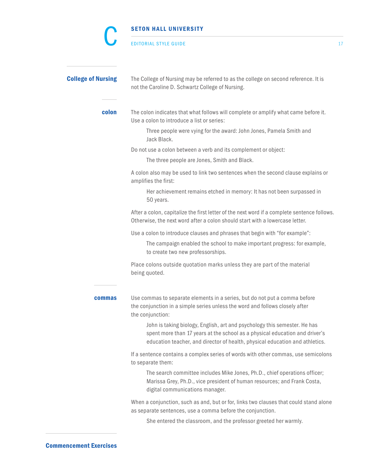|                           | SETON HALL UNIVERSITY                                                                                                                                                                                                                    |    |
|---------------------------|------------------------------------------------------------------------------------------------------------------------------------------------------------------------------------------------------------------------------------------|----|
|                           | <b>EDITORIAL STYLE GUIDE</b>                                                                                                                                                                                                             | 17 |
| <b>College of Nursing</b> | The College of Nursing may be referred to as the college on second reference. It is<br>not the Caroline D. Schwartz College of Nursing.                                                                                                  |    |
| colon                     | The colon indicates that what follows will complete or amplify what came before it.<br>Use a colon to introduce a list or series:                                                                                                        |    |
|                           | Three people were vying for the award: John Jones, Pamela Smith and<br>Jack Black.                                                                                                                                                       |    |
|                           | Do not use a colon between a verb and its complement or object:<br>The three people are Jones, Smith and Black.                                                                                                                          |    |
|                           | A colon also may be used to link two sentences when the second clause explains or<br>amplifies the first:                                                                                                                                |    |
|                           | Her achievement remains etched in memory: It has not been surpassed in<br>50 years.                                                                                                                                                      |    |
|                           | After a colon, capitalize the first letter of the next word if a complete sentence follows.<br>Otherwise, the next word after a colon should start with a lowercase letter.                                                              |    |
|                           | Use a colon to introduce clauses and phrases that begin with "for example":                                                                                                                                                              |    |
|                           | The campaign enabled the school to make important progress: for example,<br>to create two new professorships.                                                                                                                            |    |
|                           | Place colons outside quotation marks unless they are part of the material<br>being quoted.                                                                                                                                               |    |
| <b>commas</b>             | Use commas to separate elements in a series, but do not put a comma before<br>the conjunction in a simple series unless the word and follows closely after<br>the conjunction:                                                           |    |
|                           | John is taking biology, English, art and psychology this semester. He has<br>spent more than 17 years at the school as a physical education and driver's<br>education teacher, and director of health, physical education and athletics. |    |
|                           | If a sentence contains a complex series of words with other commas, use semicolons<br>to separate them:                                                                                                                                  |    |
|                           | The search committee includes Mike Jones, Ph.D., chief operations officer;<br>Marissa Grey, Ph.D., vice president of human resources; and Frank Costa,<br>digital communications manager.                                                |    |
|                           | When a conjunction, such as and, but or for, links two clauses that could stand alone<br>as separate sentences, use a comma before the conjunction.                                                                                      |    |
|                           | She entered the classroom, and the professor greeted her warmly.                                                                                                                                                                         |    |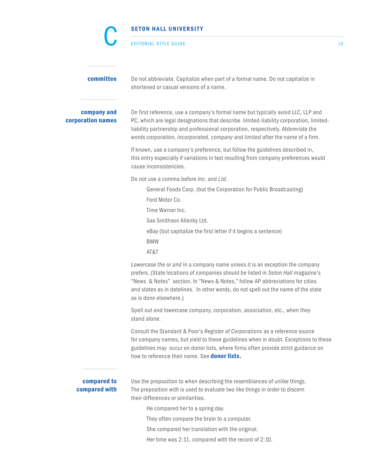|                                  | <b>EDITORIAL STYLE GUIDE</b>                                                                                                                                                                                                                                                                                                                                      | 18 |
|----------------------------------|-------------------------------------------------------------------------------------------------------------------------------------------------------------------------------------------------------------------------------------------------------------------------------------------------------------------------------------------------------------------|----|
| committee                        | Do not abbreviate. Capitalize when part of a formal name. Do not capitalize in<br>shortened or casual versions of a name.                                                                                                                                                                                                                                         |    |
| company and<br>corporation names | On first reference, use a company's formal name but typically avoid LLC, LLP and<br>PC, which are legal designations that describe limited-liability corporation, limited-<br>liability partnership and professional corporation, respectively. Abbreviate the<br>words corporation, incorporated, company and limited after the name of a firm.                  |    |
|                                  | If known, use a company's preference, but follow the guidelines described in,<br>this entry especially if variations in text resulting from company preferences would<br>cause inconsistencies.                                                                                                                                                                   |    |
|                                  | Do not use a comma before Inc. and Ltd.                                                                                                                                                                                                                                                                                                                           |    |
|                                  | General Foods Corp. (but the Corporation for Public Broadcasting)                                                                                                                                                                                                                                                                                                 |    |
|                                  | Ford Motor Co.                                                                                                                                                                                                                                                                                                                                                    |    |
|                                  | Time Warner Inc.                                                                                                                                                                                                                                                                                                                                                  |    |
|                                  | Sax Smithson Allenby Ltd.                                                                                                                                                                                                                                                                                                                                         |    |
|                                  | eBay (but capitalize the first letter if it begins a sentence)                                                                                                                                                                                                                                                                                                    |    |
|                                  | <b>BMW</b>                                                                                                                                                                                                                                                                                                                                                        |    |
|                                  | AT&T                                                                                                                                                                                                                                                                                                                                                              |    |
|                                  | Lowercase the or and in a company name unless it is an exception the company<br>prefers. (State locations of companies should be listed in Seton Hall magazine's<br>"News & Notes" section. In "News & Notes," follow AP abbreviations for cities<br>and states as in datelines. In other words, do not spell out the name of the state<br>as is done elsewhere.) |    |
|                                  | Spell out and lowercase company, corporation, association, etc., when they<br>stand alone.                                                                                                                                                                                                                                                                        |    |
|                                  | Consult the Standard & Poor's Register of Corporations as a reference source<br>for company names, but yield to these guidelines when in doubt. Exceptions to these<br>guidelines may occur on donor lists, where firms often provide strict guidance on<br>how to reference their name. See <b>donor lists.</b>                                                  |    |
| compared to<br>compared with     | Use the preposition to when describing the resemblances of unlike things.<br>The preposition with is used to evaluate two like things in order to discern<br>their differences or similarities.                                                                                                                                                                   |    |
|                                  | He compared her to a spring day.                                                                                                                                                                                                                                                                                                                                  |    |
|                                  | They often compare the brain to a computer.                                                                                                                                                                                                                                                                                                                       |    |
|                                  | She compared her translation with the original.                                                                                                                                                                                                                                                                                                                   |    |
|                                  | Her time was 2:11, compared with the record of 2:10.                                                                                                                                                                                                                                                                                                              |    |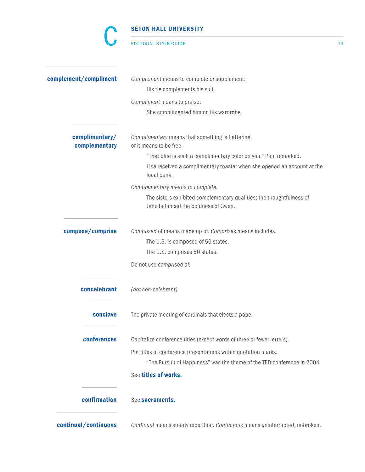#### EDITORIAL STYLE GUIDE 19

r<br>I

| complement/compliment           | Complement means to complete or supplement:                                                                 |
|---------------------------------|-------------------------------------------------------------------------------------------------------------|
|                                 | His tie complements his suit.                                                                               |
|                                 | Compliment means to praise:                                                                                 |
|                                 | She complimented him on his wardrobe.                                                                       |
| complimentary/<br>complementary | Complimentary means that something is flattering,<br>or it means to be free.                                |
|                                 | "That blue is such a complimentary color on you," Paul remarked.                                            |
|                                 | Lisa received a complimentary toaster when she opened an account at the<br>local bank.                      |
|                                 | Complementary means to complete.                                                                            |
|                                 | The sisters exhibited complementary qualities; the thoughtfulness of<br>Jane balanced the boldness of Gwen. |
| compose/comprise                | Composed of means made up of. Comprises means includes.                                                     |
|                                 | The U.S. is composed of 50 states.                                                                          |
|                                 | The U.S. comprises 50 states.                                                                               |
|                                 | Do not use comprised of.                                                                                    |
| concelebrant                    | (not con-celebrant)                                                                                         |
| conclave                        | The private meeting of cardinals that elects a pope.                                                        |
| conferences                     | Capitalize conference titles (except words of three or fewer letters).                                      |
|                                 | Put titles of conference presentations within quotation marks.                                              |
|                                 | "The Pursuit of Happiness" was the theme of the TED conference in 2004.                                     |
|                                 | See titles of works.                                                                                        |
| confirmation                    | See sacraments.                                                                                             |
|                                 |                                                                                                             |

continual/continuous *Continual* means steady repetition. *Continuous* means uninterrupted, unbroken.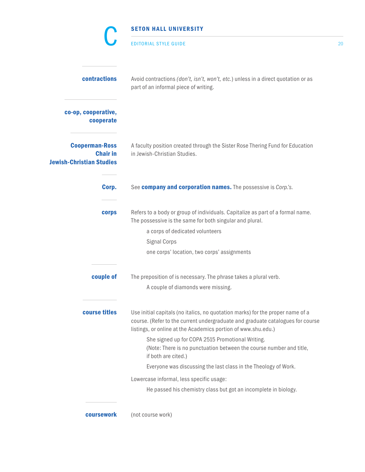|                                                                             | <b>SETON HALL UNIVERSITY</b>                                                                                                                                                                                                                                                                                                                                                                                                                           |    |
|-----------------------------------------------------------------------------|--------------------------------------------------------------------------------------------------------------------------------------------------------------------------------------------------------------------------------------------------------------------------------------------------------------------------------------------------------------------------------------------------------------------------------------------------------|----|
|                                                                             | <b>EDITORIAL STYLE GUIDE</b>                                                                                                                                                                                                                                                                                                                                                                                                                           | 20 |
| contractions                                                                | Avoid contractions (don't, isn't, won't, etc.) unless in a direct quotation or as<br>part of an informal piece of writing.                                                                                                                                                                                                                                                                                                                             |    |
| co-op, cooperative,<br>cooperate                                            |                                                                                                                                                                                                                                                                                                                                                                                                                                                        |    |
| <b>Cooperman-Ross</b><br><b>Chair in</b><br><b>Jewish-Christian Studies</b> | A faculty position created through the Sister Rose Thering Fund for Education<br>in Jewish-Christian Studies.                                                                                                                                                                                                                                                                                                                                          |    |
| Corp.                                                                       | See company and corporation names. The possessive is Corp.'s.                                                                                                                                                                                                                                                                                                                                                                                          |    |
| corps                                                                       | Refers to a body or group of individuals. Capitalize as part of a formal name.<br>The possessive is the same for both singular and plural.<br>a corps of dedicated volunteers<br><b>Signal Corps</b><br>one corps' location, two corps' assignments                                                                                                                                                                                                    |    |
| couple of                                                                   | The preposition of is necessary. The phrase takes a plural verb.<br>A couple of diamonds were missing.                                                                                                                                                                                                                                                                                                                                                 |    |
| course titles                                                               | Use initial capitals (no italics, no quotation marks) for the proper name of a<br>course. (Refer to the current undergraduate and graduate catalogues for course<br>listings, or online at the Academics portion of www.shu.edu.)<br>She signed up for COPA 2515 Promotional Writing.<br>(Note: There is no punctuation between the course number and title,<br>if both are cited.)<br>Everyone was discussing the last class in the Theology of Work. |    |
|                                                                             | Lowercase informal, less specific usage:<br>He passed his chemistry class but got an incomplete in biology.                                                                                                                                                                                                                                                                                                                                            |    |
| coursework                                                                  | (not course work)                                                                                                                                                                                                                                                                                                                                                                                                                                      |    |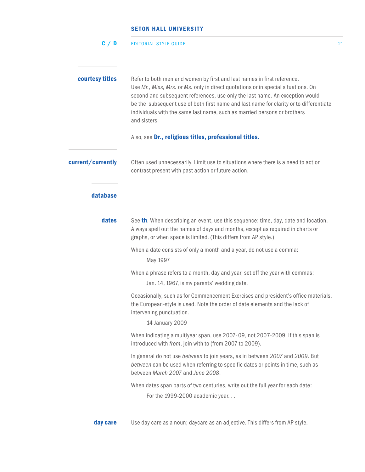|                   | <b>SETON HALL UNIVERSITY</b>                                                                                                                                                                                                                                                                                                                                                                                                       |    |
|-------------------|------------------------------------------------------------------------------------------------------------------------------------------------------------------------------------------------------------------------------------------------------------------------------------------------------------------------------------------------------------------------------------------------------------------------------------|----|
| C / D             | <b>EDITORIAL STYLE GUIDE</b>                                                                                                                                                                                                                                                                                                                                                                                                       | 21 |
| courtesy titles   | Refer to both men and women by first and last names in first reference.<br>Use Mr., Miss, Mrs. or Ms. only in direct quotations or in special situations. On<br>second and subsequent references, use only the last name. An exception would<br>be the subsequent use of both first name and last name for clarity or to differentiate<br>individuals with the same last name, such as married persons or brothers<br>and sisters. |    |
|                   | Also, see Dr., religious titles, professional titles.                                                                                                                                                                                                                                                                                                                                                                              |    |
| current/currently | Often used unnecessarily. Limit use to situations where there is a need to action<br>contrast present with past action or future action.                                                                                                                                                                                                                                                                                           |    |
| database          |                                                                                                                                                                                                                                                                                                                                                                                                                                    |    |
| dates             | See <b>th</b> . When describing an event, use this sequence: time, day, date and location.<br>Always spell out the names of days and months, except as required in charts or<br>graphs, or when space is limited. (This differs from AP style.)                                                                                                                                                                                    |    |
|                   | When a date consists of only a month and a year, do not use a comma:                                                                                                                                                                                                                                                                                                                                                               |    |

May 1997

When a phrase refers to a month, day and year, set off the year with commas:

Jan. 14, 1967, is my parents' wedding date.

Occasionally, such as for Commencement Exercises and president's office materials, the European-style is used. Note the order of date elements and the lack of intervening punctuation.

14 January 2009

When indicating a multiyear span, use 2007- 09, not 2007-2009. If this span is introduced with *from*, join with to (from 2007 to 2009).

In general do not use *between* to join years, as in between *2007* and *2009*. But *between* can be used when referring to specific dates or points in time, such as between *March 2007* and *June 2008*.

When dates span parts of two centuries, write out the full year for each date: For the 1999-2000 academic year. . .

day care Use day care as a noun; daycare as an adjective. This differs from AP style.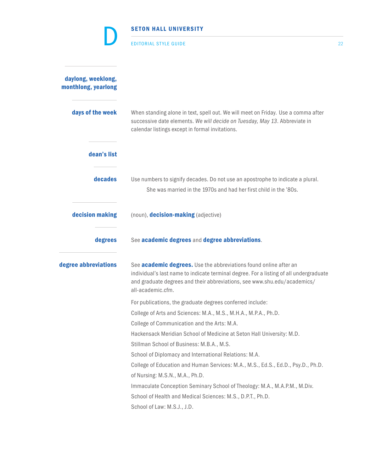|                                           | <b>EDITORIAL STYLE GUIDE</b>                                                                                                                                                                                                                                        | 22 |
|-------------------------------------------|---------------------------------------------------------------------------------------------------------------------------------------------------------------------------------------------------------------------------------------------------------------------|----|
| daylong, weeklong,<br>monthlong, yearlong |                                                                                                                                                                                                                                                                     |    |
| days of the week                          | When standing alone in text, spell out. We will meet on Friday. Use a comma after<br>successive date elements. We will decide on Tuesday, May 13. Abbreviate in<br>calendar listings except in formal invitations.                                                  |    |
| dean's list                               |                                                                                                                                                                                                                                                                     |    |
| decades                                   | Use numbers to signify decades. Do not use an apostrophe to indicate a plural.<br>She was married in the 1970s and had her first child in the '80s.                                                                                                                 |    |
| decision making                           | (noun), <b>decision-making</b> (adjective)                                                                                                                                                                                                                          |    |
| degrees                                   | See academic degrees and degree abbreviations.                                                                                                                                                                                                                      |    |
| degree abbreviations                      | See <b>academic degrees.</b> Use the abbreviations found online after an<br>individual's last name to indicate terminal degree. For a listing of all undergraduate<br>and graduate degrees and their abbreviations, see www.shu.edu/academics/<br>all-academic.cfm. |    |
|                                           | For publications, the graduate degrees conferred include:                                                                                                                                                                                                           |    |
|                                           | College of Arts and Sciences: M.A., M.S., M.H.A., M.P.A., Ph.D.                                                                                                                                                                                                     |    |
|                                           | College of Communication and the Arts: M.A.                                                                                                                                                                                                                         |    |
|                                           | Hackensack Meridian School of Medicine at Seton Hall University: M.D.                                                                                                                                                                                               |    |
|                                           | Stillman School of Business: M.B.A., M.S.                                                                                                                                                                                                                           |    |
|                                           | School of Diplomacy and International Relations: M.A.                                                                                                                                                                                                               |    |
|                                           | College of Education and Human Services: M.A., M.S., Ed.S., Ed.D., Psy.D., Ph.D.                                                                                                                                                                                    |    |
|                                           | of Nursing: M.S.N., M.A., Ph.D.                                                                                                                                                                                                                                     |    |
|                                           | Immaculate Conception Seminary School of Theology: M.A., M.A.P.M., M.Div.                                                                                                                                                                                           |    |
|                                           | School of Health and Medical Sciences: M.S., D.P.T., Ph.D.                                                                                                                                                                                                          |    |
|                                           | School of Law: M.S.J., J.D.                                                                                                                                                                                                                                         |    |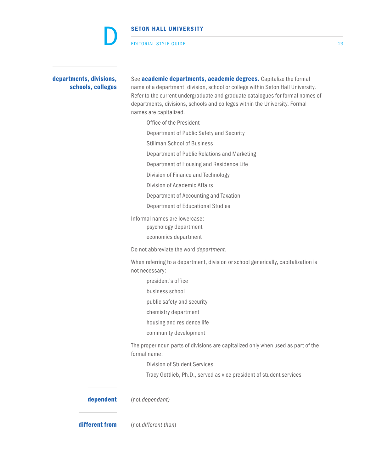EDITORIAL STYLE GUIDE 23

D

departments, divisions, See academic departments, academic degrees. Capitalize the formal schools, colleges name of a department, division, school or college within Seton Hall University. Refer to the current undergraduate and graduate catalogues for formal names of departments, divisions, schools and colleges within the University. Formal names are capitalized.

- Office of the President
- Department of Public Safety and Security
- Stillman School of Business
- Department of Public Relations and Marketing
- Department of Housing and Residence Life
- Division of Finance and Technology
- Division of Academic Affairs
- Department of Accounting and Taxation
- Department of Educational Studies

Informal names are lowercase: psychology department economics department

Do not abbreviate the word *department.*

When referring to a department, division or school generically, capitalization is not necessary:

- president's office
- business school
- public safety and security
- chemistry department
- housing and residence life
- community development

The proper noun parts of divisions are capitalized only when used as part of the formal name:

Division of Student Services

Tracy Gottlieb, Ph.D., served as vice president of student services

dependent (not *dependant)*

different from (not *different than*)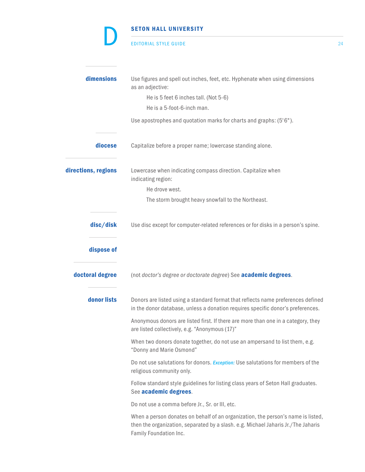#### EDITORIAL STYLE GUIDE 24

D

| dimensions          | Use figures and spell out inches, feet, etc. Hyphenate when using dimensions<br>as an adjective:                                                                                                |
|---------------------|-------------------------------------------------------------------------------------------------------------------------------------------------------------------------------------------------|
|                     | He is 5 feet 6 inches tall. (Not 5-6)                                                                                                                                                           |
|                     | He is a 5-foot-6-inch man.                                                                                                                                                                      |
|                     | Use apostrophes and quotation marks for charts and graphs: (5'6").                                                                                                                              |
| diocese             | Capitalize before a proper name; lowercase standing alone.                                                                                                                                      |
| directions, regions | Lowercase when indicating compass direction. Capitalize when<br>indicating region:                                                                                                              |
|                     | He drove west.                                                                                                                                                                                  |
|                     | The storm brought heavy snowfall to the Northeast.                                                                                                                                              |
| disc/disk           | Use disc except for computer-related references or for disks in a person's spine.                                                                                                               |
| dispose of          |                                                                                                                                                                                                 |
| doctoral degree     | (not doctor's degree or doctorate degree) See <b>academic degrees</b> .                                                                                                                         |
| donor lists         | Donors are listed using a standard format that reflects name preferences defined<br>in the donor database, unless a donation requires specific donor's preferences.                             |
|                     | Anonymous donors are listed first. If there are more than one in a category, they<br>are listed collectively, e.g. "Anonymous (17)"                                                             |
|                     | When two donors donate together, do not use an ampersand to list them, e.g.<br>"Donny and Marie Osmond"                                                                                         |
|                     | Do not use salutations for donors. <i>Exception:</i> Use salutations for members of the<br>religious community only.                                                                            |
|                     | Follow standard style guidelines for listing class years of Seton Hall graduates.<br>See academic degrees.                                                                                      |
|                     | Do not use a comma before Jr., Sr. or III, etc.                                                                                                                                                 |
|                     | When a person donates on behalf of an organization, the person's name is listed,<br>then the organization, separated by a slash. e.g. Michael Jaharis Jr./The Jaharis<br>Family Foundation Inc. |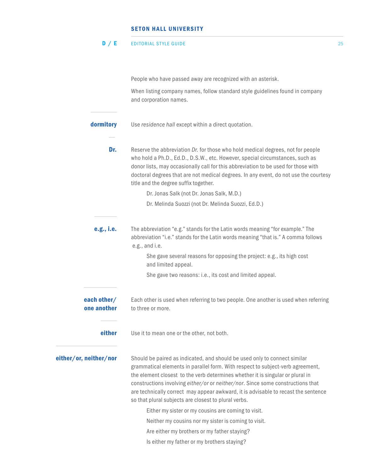#### EDITORIAL STYLE GUIDE 25 D / E

People who have passed away are recognized with an asterisk.

When listing company names, follow standard style guidelines found in company and corporation names.

- **dormitory** Use *residence hall* except within a direct quotation.
	- **Dr.** Reserve the abbreviation *Dr.* for those who hold medical degrees, not for people who hold a Ph.D., Ed.D., D.S.W., etc. However, special circumstances, such as donor lists, may occasionally call for this abbreviation to be used for those with doctoral degrees that are not medical degrees. In any event, do not use the courtesy title and the degree suffix together.

Dr. Jonas Salk (not Dr. Jonas Salk, M.D.)

Dr. Melinda Suozzi (not Dr. Melinda Suozzi, Ed.D.)

e.g., i.e. The abbreviation "e.g." stands for the Latin words meaning "for example." The abbreviation "i.e." stands for the Latin words meaning "that is." A comma follows e.g., and i.e.

 She gave several reasons for opposing the project: e.g., its high cost and limited appeal.

She gave two reasons: i.e., its cost and limited appeal.

- **each other/** Each other is used when referring to two people. One another is used when referring one another to three or more.
	- **either** Use it to mean one or the other, not both.

either/or, neither/nor Should be paired as indicated, and should be used only to connect similar grammatical elements in parallel form. With respect to subject-verb agreement, the element closest to the verb determines whether it is singular or plural in constructions involving *either/or* or *neither/nor*. Since some constructions that are technically correct may appear awkward, it is advisable to recast the sentence so that plural subjects are closest to plural verbs.

Either my sister or my cousins are coming to visit.

Neither my cousins nor my sister is coming to visit.

Are either my brothers or my father staying?

Is either my father or my brothers staying?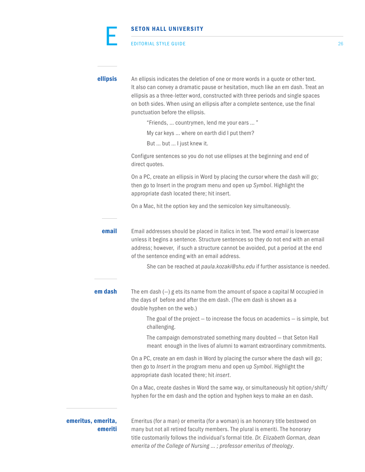|                               | <b>SETON HALL UNIVERSITY</b>                                                                                                                                                                                                                                                                                                                                                                                                                                                                                                                                                               |    |
|-------------------------------|--------------------------------------------------------------------------------------------------------------------------------------------------------------------------------------------------------------------------------------------------------------------------------------------------------------------------------------------------------------------------------------------------------------------------------------------------------------------------------------------------------------------------------------------------------------------------------------------|----|
|                               | <b>EDITORIAL STYLE GUIDE</b>                                                                                                                                                                                                                                                                                                                                                                                                                                                                                                                                                               | 26 |
| ellipsis                      | An ellipsis indicates the deletion of one or more words in a quote or other text.<br>It also can convey a dramatic pause or hesitation, much like an em dash. Treat an<br>ellipsis as a three-letter word, constructed with three periods and single spaces<br>on both sides. When using an ellipsis after a complete sentence, use the final<br>punctuation before the ellipsis.<br>"Friends,  countrymen, lend me your ears  "<br>My car keys  where on earth did I put them?<br>But  but  I just knew it.<br>Configure sentences so you do not use ellipses at the beginning and end of |    |
|                               | direct quotes.<br>On a PC, create an ellipsis in Word by placing the cursor where the dash will go;<br>then go to Insert in the program menu and open up Symbol. Highlight the<br>appropriate dash located there; hit insert.<br>On a Mac, hit the option key and the semicolon key simultaneously.                                                                                                                                                                                                                                                                                        |    |
| email                         | Email addresses should be placed in italics in text. The word email is lowercase<br>unless it begins a sentence. Structure sentences so they do not end with an email<br>address; however, if such a structure cannot be avoided, put a period at the end<br>of the sentence ending with an email address.                                                                                                                                                                                                                                                                                 |    |
|                               | She can be reached at paula. kozaki@shu.edu if further assistance is needed.                                                                                                                                                                                                                                                                                                                                                                                                                                                                                                               |    |
| em dash                       | The em dash $(-)$ g ets its name from the amount of space a capital M occupied in<br>the days of before and after the em dash. (The em dash is shown as a<br>double hyphen on the web.)                                                                                                                                                                                                                                                                                                                                                                                                    |    |
|                               | The goal of the project $-$ to increase the focus on academics $-$ is simple, but<br>challenging.<br>The campaign demonstrated something many doubted - that Seton Hall                                                                                                                                                                                                                                                                                                                                                                                                                    |    |
|                               | meant enough in the lives of alumni to warrant extraordinary commitments.<br>On a PC, create an em dash in Word by placing the cursor where the dash will go;<br>then go to Insert in the program menu and open up Symbol. Highlight the<br>appropriate dash located there; hit insert.                                                                                                                                                                                                                                                                                                    |    |
|                               | On a Mac, create dashes in Word the same way, or simultaneously hit option/shift/<br>hyphen for the em dash and the option and hyphen keys to make an en dash.                                                                                                                                                                                                                                                                                                                                                                                                                             |    |
| emeritus, emerita,<br>emeriti | Emeritus (for a man) or emerita (for a woman) is an honorary title bestowed on<br>many but not all retired faculty members. The plural is emeriti. The honorary<br>title customarily follows the individual's formal title. Dr. Elizabeth Gorman, dean                                                                                                                                                                                                                                                                                                                                     |    |

*emerita of the College of Nursing … ; professor emeritus of theology*.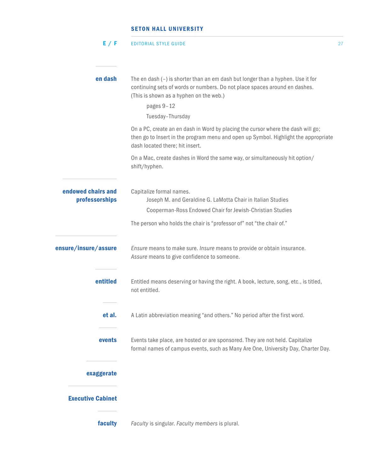| E / F                                | <b>EDITORIAL STYLE GUIDE</b>                                                                                                                                                                               | 27 |
|--------------------------------------|------------------------------------------------------------------------------------------------------------------------------------------------------------------------------------------------------------|----|
|                                      |                                                                                                                                                                                                            |    |
| en dash                              | The en dash (-) is shorter than an em dash but longer than a hyphen. Use it for<br>continuing sets of words or numbers. Do not place spaces around en dashes.<br>(This is shown as a hyphen on the web.)   |    |
|                                      | pages 9-12<br>Tuesday-Thursday                                                                                                                                                                             |    |
|                                      | On a PC, create an en dash in Word by placing the cursor where the dash will go;<br>then go to Insert in the program menu and open up Symbol. Highlight the appropriate<br>dash located there; hit insert. |    |
|                                      | On a Mac, create dashes in Word the same way, or simultaneously hit option/<br>shift/hyphen.                                                                                                               |    |
| endowed chairs and<br>professorships | Capitalize formal names.<br>Joseph M. and Geraldine G. LaMotta Chair in Italian Studies                                                                                                                    |    |
|                                      | Cooperman-Ross Endowed Chair for Jewish-Christian Studies                                                                                                                                                  |    |
|                                      | The person who holds the chair is "professor of" not "the chair of."                                                                                                                                       |    |
| ensure/insure/assure                 | Ensure means to make sure. Insure means to provide or obtain insurance.<br>Assure means to give confidence to someone.                                                                                     |    |
| entitled                             | Entitled means deserving or having the right. A book, lecture, song, etc., is titled,<br>not entitled.                                                                                                     |    |
| et al.                               | A Latin abbreviation meaning "and others." No period after the first word.                                                                                                                                 |    |
| events                               | Events take place, are hosted or are sponsored. They are not held. Capitalize<br>formal names of campus events, such as Many Are One, University Day, Charter Day.                                         |    |
| exaggerate                           |                                                                                                                                                                                                            |    |
| <b>Executive Cabinet</b>             |                                                                                                                                                                                                            |    |
| faculty                              | Faculty is singular. Faculty members is plural.                                                                                                                                                            |    |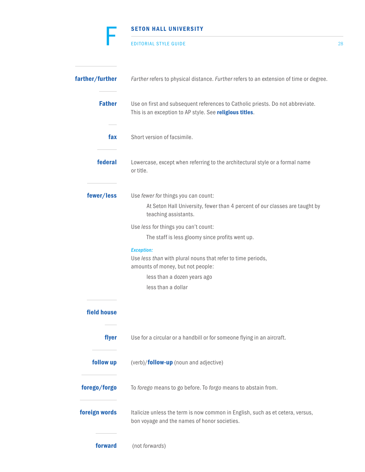# SETON HALL UNIVERSITY EDITORIAL STYLE GUIDE 28 farther/further *Farther* refers to physical distance. *Further* refers to an extension of time or degree. Father Use on first and subsequent references to Catholic priests. Do not abbreviate. This is an exception to AP style. See religious titles. fax Short version of facsimile. **federal** Lowercase, except when referring to the architectural style or a formal name or title. fewer/less Use *fewer f*or things you can count: At Seton Hall University, fewer than 4 percent of our classes are taught by teaching assistants. Use *less* for things you can't count: The staff is less gloomy since profits went up. *Exception:* Use *less than* with plural nouns that refer to time periods, amounts of money, but not people: less than a dozen years ago less than a dollar field house flyer Use for a circular or a handbill or for someone flying in an aircraft. **follow up** (verb)/**follow-up** (noun and adjective) forego/forgo To *forego* means to go before. To *forgo* means to abstain from. foreign words Italicize unless the term is now common in English, such as et cetera, versus, bon voyage and the names of honor societies. F

forward (not *forwards*)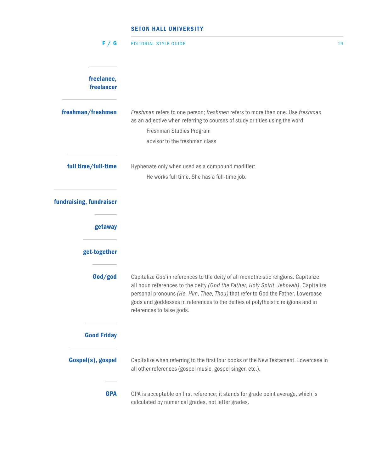| F / G                    | <b>EDITORIAL STYLE GUIDE</b>                                                                                                                                                                                                                                                                                                                                                   | 29 |
|--------------------------|--------------------------------------------------------------------------------------------------------------------------------------------------------------------------------------------------------------------------------------------------------------------------------------------------------------------------------------------------------------------------------|----|
| freelance,<br>freelancer |                                                                                                                                                                                                                                                                                                                                                                                |    |
| freshman/freshmen        | Freshman refers to one person; freshmen refers to more than one. Use freshman<br>as an adjective when referring to courses of study or titles using the word:<br>Freshman Studies Program                                                                                                                                                                                      |    |
|                          | advisor to the freshman class                                                                                                                                                                                                                                                                                                                                                  |    |
| full time/full-time      | Hyphenate only when used as a compound modifier:<br>He works full time. She has a full-time job.                                                                                                                                                                                                                                                                               |    |
| fundraising, fundraiser  |                                                                                                                                                                                                                                                                                                                                                                                |    |
| getaway                  |                                                                                                                                                                                                                                                                                                                                                                                |    |
| get-together             |                                                                                                                                                                                                                                                                                                                                                                                |    |
| God/god                  | Capitalize God in references to the deity of all monotheistic religions. Capitalize<br>all noun references to the deity (God the Father, Holy Spirit, Jehovah). Capitalize<br>personal pronouns (He, Him, Thee, Thou) that refer to God the Father. Lowercase<br>gods and goddesses in references to the deities of polytheistic religions and in<br>references to false gods. |    |
| <b>Good Friday</b>       |                                                                                                                                                                                                                                                                                                                                                                                |    |
| Gospel(s), gospel        | Capitalize when referring to the first four books of the New Testament. Lowercase in<br>all other references (gospel music, gospel singer, etc.).                                                                                                                                                                                                                              |    |
| <b>GPA</b>               | GPA is acceptable on first reference; it stands for grade point average, which is<br>calculated by numerical grades, not letter grades.                                                                                                                                                                                                                                        |    |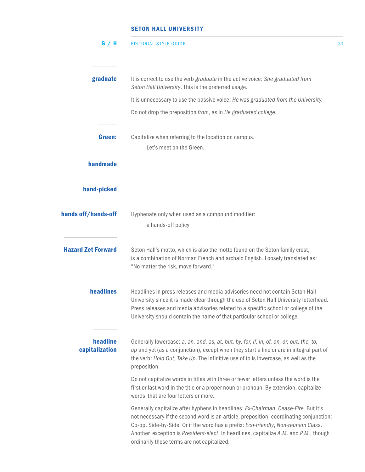| G / H                      | <b>EDITORIAL STYLE GUIDE</b>                                                                                                                                                                                                                                                                                                                                                                              | 30 |
|----------------------------|-----------------------------------------------------------------------------------------------------------------------------------------------------------------------------------------------------------------------------------------------------------------------------------------------------------------------------------------------------------------------------------------------------------|----|
| graduate                   | It is correct to use the verb graduate in the active voice: She graduated from<br>Seton Hall University. This is the preferred usage.                                                                                                                                                                                                                                                                     |    |
|                            | It is unnecessary to use the passive voice: He was graduated from the University.                                                                                                                                                                                                                                                                                                                         |    |
|                            | Do not drop the preposition from, as in He graduated college.                                                                                                                                                                                                                                                                                                                                             |    |
| Green:                     | Capitalize when referring to the location on campus.<br>Let's meet on the Green.                                                                                                                                                                                                                                                                                                                          |    |
| handmade                   |                                                                                                                                                                                                                                                                                                                                                                                                           |    |
| hand-picked                |                                                                                                                                                                                                                                                                                                                                                                                                           |    |
| hands off/hands-off        | Hyphenate only when used as a compound modifier:<br>a hands-off policy                                                                                                                                                                                                                                                                                                                                    |    |
| <b>Hazard Zet Forward</b>  | Seton Hall's motto, which is also the motto found on the Seton family crest,<br>is a combination of Norman French and archaic English. Loosely translated as:<br>"No matter the risk, move forward."                                                                                                                                                                                                      |    |
| headlines                  | Headlines in press releases and media advisories need not contain Seton Hall<br>University since it is made clear through the use of Seton Hall University letterhead.<br>Press releases and media advisories related to a specific school or college of the<br>University should contain the name of that particular school or college.                                                                  |    |
| headline<br>capitalization | Generally lowercase: a, an, and, as, at, but, by, for, if, in, of, on, or, out, the, to,<br>up and yet (as a conjunction), except when they start a line or are in integral part of<br>the verb: Hold Out, Take Up. The infinitive use of to is lowercase, as well as the<br>preposition.                                                                                                                 |    |
|                            | Do not capitalize words in titles with three or fewer letters unless the word is the<br>first or last word in the title or a proper noun or pronoun. By extension, capitalize<br>words that are four letters or more.                                                                                                                                                                                     |    |
|                            | Generally capitalize after hyphens in headlines: Ex-Chairman, Cease-Fire. But it's<br>not necessary if the second word is an article, preposition, coordinating conjunction:<br>Co-op. Side-by-Side. Or if the word has a prefix: Eco-friendly, Non-reunion Class.<br>Another exception is President-elect. In headlines, capitalize A.M. and P.M., though<br>ordinarily these terms are not capitalized. |    |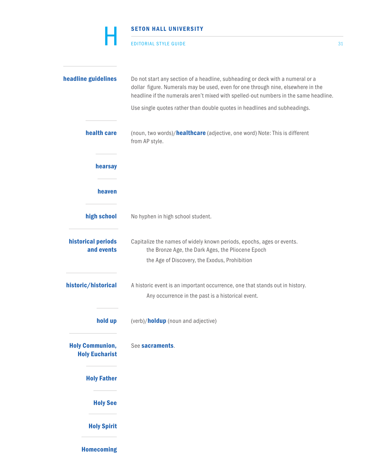|                                  | <b>SETON HALL UNIVERSITY</b><br><b>EDITORIAL STYLE GUIDE</b>                                                                                                                                                                                               | 31 |
|----------------------------------|------------------------------------------------------------------------------------------------------------------------------------------------------------------------------------------------------------------------------------------------------------|----|
| headline guidelines              | Do not start any section of a headline, subheading or deck with a numeral or a<br>dollar figure. Numerals may be used, even for one through nine, elsewhere in the<br>headline if the numerals aren't mixed with spelled-out numbers in the same headline. |    |
|                                  | Use single quotes rather than double quotes in headlines and subheadings.                                                                                                                                                                                  |    |
| health care                      | (noun, two words)/healthcare (adjective, one word) Note: This is different<br>from AP style.                                                                                                                                                               |    |
| hearsay                          |                                                                                                                                                                                                                                                            |    |
| heaven                           |                                                                                                                                                                                                                                                            |    |
| high school                      | No hyphen in high school student.                                                                                                                                                                                                                          |    |
| historical periods<br>and events | Capitalize the names of widely known periods, epochs, ages or events.<br>the Bronze Age, the Dark Ages, the Pliocene Epoch                                                                                                                                 |    |
|                                  | the Age of Discovery, the Exodus, Prohibition                                                                                                                                                                                                              |    |
| historic/historical              | A historic event is an important occurrence, one that stands out in history.                                                                                                                                                                               |    |

- Any occurrence in the past is a historical event.
- **hold up** (verb)/**holdup** (noun and adjective)

Holy Communion, See sacraments. Holy Eucharist

Holy Father

Holy See

Holy Spirit

Homecoming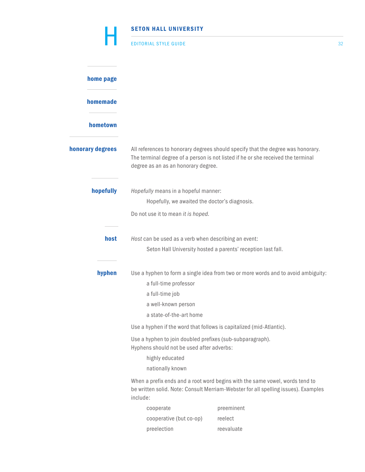|                  | <b>SETON HALL UNIVERSITY</b>                                                                           |                                                                                                                                                                     |    |  |
|------------------|--------------------------------------------------------------------------------------------------------|---------------------------------------------------------------------------------------------------------------------------------------------------------------------|----|--|
|                  | <b>EDITORIAL STYLE GUIDE</b>                                                                           |                                                                                                                                                                     | 32 |  |
| home page        |                                                                                                        |                                                                                                                                                                     |    |  |
| homemade         |                                                                                                        |                                                                                                                                                                     |    |  |
| hometown         |                                                                                                        |                                                                                                                                                                     |    |  |
| honorary degrees | degree as an as an honorary degree.                                                                    | All references to honorary degrees should specify that the degree was honorary.<br>The terminal degree of a person is not listed if he or she received the terminal |    |  |
| hopefully        | Hopefully means in a hopeful manner:                                                                   |                                                                                                                                                                     |    |  |
|                  | Hopefully, we awaited the doctor's diagnosis.                                                          |                                                                                                                                                                     |    |  |
|                  | Do not use it to mean it is hoped.                                                                     |                                                                                                                                                                     |    |  |
| host             | Host can be used as a verb when describing an event:                                                   | Seton Hall University hosted a parents' reception last fall.                                                                                                        |    |  |
| hyphen           | a full-time professor<br>a full-time job<br>a well-known person                                        | Use a hyphen to form a single idea from two or more words and to avoid ambiguity:                                                                                   |    |  |
|                  | a state-of-the-art home                                                                                |                                                                                                                                                                     |    |  |
|                  |                                                                                                        | Use a hyphen if the word that follows is capitalized (mid-Atlantic).                                                                                                |    |  |
|                  | Use a hyphen to join doubled prefixes (sub-subparagraph).<br>Hyphens should not be used after adverbs: |                                                                                                                                                                     |    |  |
|                  | highly educated                                                                                        |                                                                                                                                                                     |    |  |
|                  | nationally known                                                                                       |                                                                                                                                                                     |    |  |
|                  | include:                                                                                               | When a prefix ends and a root word begins with the same vowel, words tend to<br>be written solid. Note: Consult Merriam-Webster for all spelling issues). Examples  |    |  |
|                  | cooperate                                                                                              | preeminent                                                                                                                                                          |    |  |
|                  | cooperative (but co-op)                                                                                | reelect                                                                                                                                                             |    |  |
|                  | preelection                                                                                            | reevaluate                                                                                                                                                          |    |  |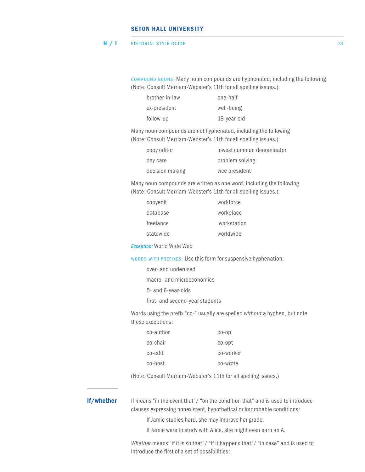#### EDITORIAL STYLE GUIDE 33 H / I

 COMPOUND NOUNS: Many noun compounds are hyphenated, including the following (Note: Consult Merriam-Webster's 11th for all spelling issues.):

| brother-in-law | one-half    |
|----------------|-------------|
| ex-president   | well-being  |
| follow-up      | 18-year-old |

Many noun compounds are not hyphenated, including the following (Note: Consult Merriam-Webster's 11th for all spelling issues.):

| copy editor     | lowest common denominator |
|-----------------|---------------------------|
| day care        | problem solving           |
| decision making | vice president            |

Many noun compounds are written as one word, including the following (Note: Consult Merriam-Webster's 11th for all spelling issues.):

| copyedit  | workforce   |
|-----------|-------------|
| database  | workplace   |
| freelance | workstation |
| statewide | worldwide   |

*Exception:* World Wide Web

WORDS WITH PREFIXES: Use this form for suspensive hyphenation:

|  | over- and underused       |  |  |
|--|---------------------------|--|--|
|  | macro- and microeconomics |  |  |
|  | 5- and 6-year-olds        |  |  |
|  |                           |  |  |

first- and second-year students

Words using the prefix "co-" usually are spelled *without* a hyphen, but note these exceptions:

| co-author | $CO-OD$   |
|-----------|-----------|
| co-chair  | co-opt    |
| co-edit   | co-worker |
| co-host   | co-wrote  |

(Note: Consult Merriam-Webster's 11th for all spelling issues.)

**if/whether** If means "in the event that"/ "on the condition that" and is used to introduce clauses expressing nonexistent, hypothetical or improbable conditions:

If Jamie studies hard, she may improve her grade.

If Jamie were to study with Alice, she might even earn an A.

*Whether* means "if it is so that"/ "if it happens that"/ "in case" and is used to introduce the first of a set of possibilities: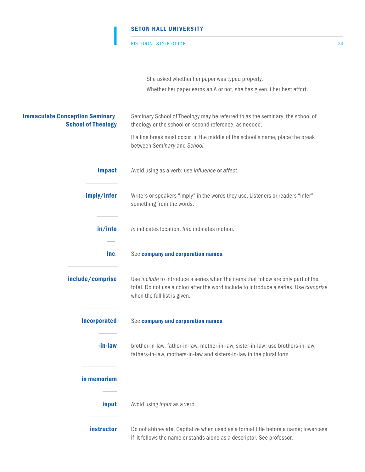#### EDITORIAL STYLE GUIDE 34

I

|                                                                    | She asked whether her paper was typed properly.                                                                                                                                                           |
|--------------------------------------------------------------------|-----------------------------------------------------------------------------------------------------------------------------------------------------------------------------------------------------------|
|                                                                    | Whether her paper earns an A or not, she has given it her best effort.                                                                                                                                    |
| <b>Immaculate Conception Seminary</b><br><b>School of Theology</b> | Seminary School of Theology may be referred to as the seminary, the school of<br>theology or the school on second reference, as needed.                                                                   |
|                                                                    | If a line break must occur in the middle of the school's name, place the break<br>between Seminary and School.                                                                                            |
| impact                                                             | Avoid using as a verb; use influence or affect.                                                                                                                                                           |
| imply/infer                                                        | Writers or speakers "imply" in the words they use. Listeners or readers "infer"<br>something from the words.                                                                                              |
| in/into                                                            | In indicates location. Into indicates motion.                                                                                                                                                             |
| Inc.                                                               | See company and corporation names.                                                                                                                                                                        |
| include/comprise                                                   | Use include to introduce a series when the items that follow are only part of the<br>total. Do not use a colon after the word include to introduce a series. Use comprise<br>when the full list is given. |
| <b>Incorporated</b>                                                | See company and corporation names.                                                                                                                                                                        |
| -in-law                                                            | brother-in-law, father-in-law, mother-in-law, sister-in-law; use brothers-in-law,<br>fathers-in-law, mothers-in-law and sisters-in-law in the plural form                                                 |
| in memoriam                                                        |                                                                                                                                                                                                           |
| input                                                              | Avoid using <i>input</i> as a verb.                                                                                                                                                                       |
| instructor                                                         | Do not abbreviate. Capitalize when used as a formal title before a name; lowercase<br>if it follows the name or stands alone as a descriptor. See professor.                                              |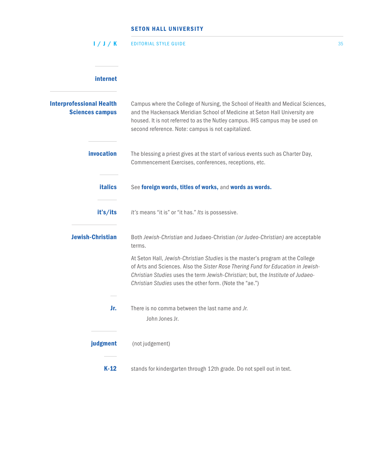| 1/J/K                                                     | <b>EDITORIAL STYLE GUIDE</b>                                                                                                                                                                                                                                                                                     | 35 |
|-----------------------------------------------------------|------------------------------------------------------------------------------------------------------------------------------------------------------------------------------------------------------------------------------------------------------------------------------------------------------------------|----|
| internet                                                  |                                                                                                                                                                                                                                                                                                                  |    |
| <b>Interprofessional Health</b><br><b>Sciences campus</b> | Campus where the College of Nursing, the School of Health and Medical Sciences,<br>and the Hackensack Meridian School of Medicine at Seton Hall University are<br>housed. It is not referred to as the Nutley campus. IHS campus may be used on<br>second reference. Note: campus is not capitalized.            |    |
| invocation                                                | The blessing a priest gives at the start of various events such as Charter Day,<br>Commencement Exercises, conferences, receptions, etc.                                                                                                                                                                         |    |
| <b>italics</b>                                            | See foreign words, titles of works, and words as words.                                                                                                                                                                                                                                                          |    |
| it's/its                                                  | It's means "it is" or "it has." Its is possessive.                                                                                                                                                                                                                                                               |    |
| <b>Jewish-Christian</b>                                   | Both Jewish-Christian and Judaeo-Christian (or Judeo-Christian) are acceptable<br>terms.                                                                                                                                                                                                                         |    |
|                                                           | At Seton Hall, Jewish-Christian Studies is the master's program at the College<br>of Arts and Sciences. Also the Sister Rose Thering Fund for Education in Jewish-<br>Christian Studies uses the term Jewish-Christian; but, the Institute of Judaeo-<br>Christian Studies uses the other form. (Note the "ae.") |    |
| Jr.                                                       | There is no comma between the last name and Jr.<br>John Jones Jr.                                                                                                                                                                                                                                                |    |
| judgment                                                  | (not judgement)                                                                                                                                                                                                                                                                                                  |    |
| $K-12$                                                    | stands for kindergarten through 12th grade. Do not spell out in text.                                                                                                                                                                                                                                            |    |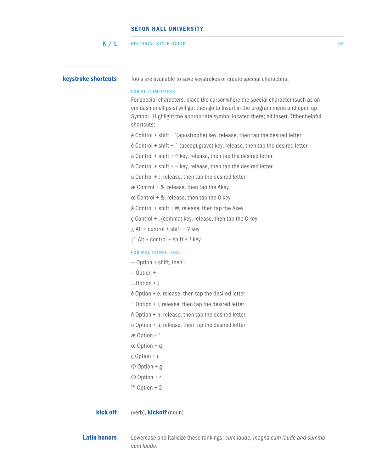#### EDITORIAL STYLE GUIDE 36  $K / L$

**keystroke shortcuts** Tools are available to save keystrokes or create special characters.

#### FOR PC COMPUTERS:

For special characters, place the cursor where the special character (such as an em dash or ellipsis) will go; then go to Insert in the program menu and open up Symbol. Highlight the appropriate symbol located there; hit insert. Other helpful shortcuts:

é Control + shift + '(apostrophe) key, release, then tap the desired letter

è Control + shift + ` (accept grave) key, release, then tap the desired letter

 $\hat{a}$  Control + shift +  $\wedge$  key, release, then tap the desired letter

 $ñ$  Control + shift +  $\sim$  key, release, then tap the desired letter

ü Control + :, release, then tap the desired letter

 $\infty$  Control + &, release, then tap the Akey

 $ce$  Control + &, release, then tap the O key

å Control + shift +  $@.$  release, then tap the Akey

ç Control + , (comma) key, release, then tap the C key

 $\lambda$  Alt + control + shift + ? key

 $i$  Alt + control + shift + ! key

#### FOR MAC COMPUTERS:

- Option + shift, then -
- Option + -
- …Option + ;
- é Option + e, release, then tap the desired letter
- ˆ Option + I, release, then tap the desired letter
- ñ Option + n, release, then tap the desired letter

ü Option + u, release, then tap the desired letter

æ Option + '

œ Option + q

- ç Option + c
- © Option + g
- ® Option + r
- ™ Option + 2

### kick off (verb), kickoff (noun)

Latin honors Lowercase and italicize these rankings: *cum laude, magna cum laude and summa cum laude*.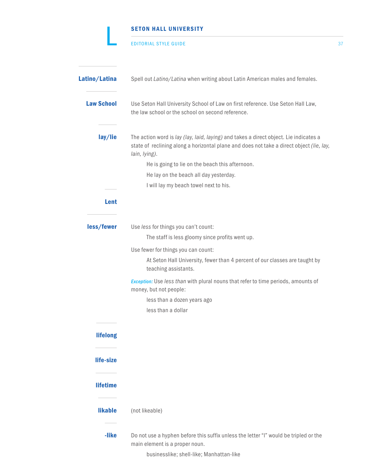|                   | <b>SETON HALL UNIVERSITY</b>                                                                                                                                                                                                                                                                                                              |    |
|-------------------|-------------------------------------------------------------------------------------------------------------------------------------------------------------------------------------------------------------------------------------------------------------------------------------------------------------------------------------------|----|
|                   | <b>EDITORIAL STYLE GUIDE</b>                                                                                                                                                                                                                                                                                                              | 37 |
| Latino/Latina     | Spell out Latino/Latina when writing about Latin American males and females.                                                                                                                                                                                                                                                              |    |
| <b>Law School</b> | Use Seton Hall University School of Law on first reference. Use Seton Hall Law,<br>the law school or the school on second reference.                                                                                                                                                                                                      |    |
| lay/lie           | The action word is lay (lay, laid, laying) and takes a direct object. Lie indicates a<br>state of reclining along a horizontal plane and does not take a direct object (lie, lay,<br>lain, lying).<br>He is going to lie on the beach this afternoon.<br>He lay on the beach all day yesterday.<br>I will lay my beach towel next to his. |    |
| Lent              |                                                                                                                                                                                                                                                                                                                                           |    |
| less/fewer        | Use less for things you can't count:<br>The staff is less gloomy since profits went up.                                                                                                                                                                                                                                                   |    |
|                   | Use fewer for things you can count:<br>At Seton Hall University, fewer than 4 percent of our classes are taught by<br>teaching assistants.                                                                                                                                                                                                |    |
|                   | Exception: Use less than with plural nouns that refer to time periods, amounts of<br>money, but not people:<br>less than a dozen years ago<br>less than a dollar                                                                                                                                                                          |    |
| <b>lifelong</b>   |                                                                                                                                                                                                                                                                                                                                           |    |
| life-size         |                                                                                                                                                                                                                                                                                                                                           |    |
| <b>lifetime</b>   |                                                                                                                                                                                                                                                                                                                                           |    |
| <b>likable</b>    | (not likeable)                                                                                                                                                                                                                                                                                                                            |    |
| -like             | Do not use a hyphen before this suffix unless the letter "I" would be tripled or the<br>main element is a proper noun.<br>businesslike; shell-like; Manhattan-like                                                                                                                                                                        |    |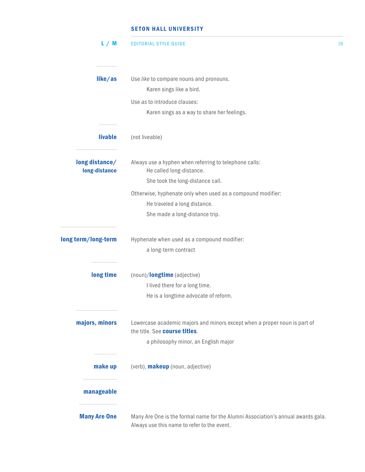| L/M                             | <b>EDITORIAL STYLE GUIDE</b>                                                                                                    | 38 |
|---------------------------------|---------------------------------------------------------------------------------------------------------------------------------|----|
|                                 |                                                                                                                                 |    |
| like/as                         | Use like to compare nouns and pronouns.                                                                                         |    |
|                                 | Karen sings like a bird.                                                                                                        |    |
|                                 | Use as to introduce clauses:                                                                                                    |    |
|                                 | Karen sings as a way to share her feelings.                                                                                     |    |
| <b>livable</b>                  | (not liveable)                                                                                                                  |    |
| long distance/<br>long-distance | Always use a hyphen when referring to telephone calls:<br>He called long-distance.                                              |    |
|                                 | She took the long-distance call.                                                                                                |    |
|                                 | Otherwise, hyphenate only when used as a compound modifier:                                                                     |    |
|                                 | He traveled a long distance.                                                                                                    |    |
|                                 | She made a long-distance trip.                                                                                                  |    |
| long term/long-term             | Hyphenate when used as a compound modifier:                                                                                     |    |
|                                 | a long-term contract                                                                                                            |    |
| long time                       | (noun)/longtime (adjective)                                                                                                     |    |
|                                 | I lived there for a long time.                                                                                                  |    |
|                                 | He is a longtime advocate of reform.                                                                                            |    |
| majors, minors                  | Lowercase academic majors and minors except when a proper noun is part of<br>the title. See course titles.                      |    |
|                                 | a philosophy minor, an English major                                                                                            |    |
| make up                         | (verb), <b>makeup</b> (noun, adjective)                                                                                         |    |
| manageable                      |                                                                                                                                 |    |
| <b>Many Are One</b>             | Many Are One is the formal name for the Alumni Association's annual awards gala.<br>Always use this name to refer to the event. |    |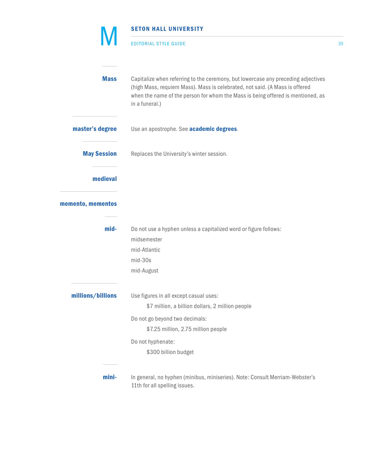|                    | <b>SETON HALL UNIVERSITY</b>                                                                                                                                                                                                                                          |    |
|--------------------|-----------------------------------------------------------------------------------------------------------------------------------------------------------------------------------------------------------------------------------------------------------------------|----|
|                    | <b>EDITORIAL STYLE GUIDE</b>                                                                                                                                                                                                                                          | 39 |
| <b>Mass</b>        | Capitalize when referring to the ceremony, but lowercase any preceding adjectives<br>(high Mass, requiem Mass). Mass is celebrated, not said. (A Mass is offered<br>when the name of the person for whom the Mass is being offered is mentioned, as<br>in a funeral.) |    |
| master's degree    | Use an apostrophe. See academic degrees.                                                                                                                                                                                                                              |    |
| <b>May Session</b> | Replaces the University's winter session.                                                                                                                                                                                                                             |    |
| medieval           |                                                                                                                                                                                                                                                                       |    |
| memento, mementos  |                                                                                                                                                                                                                                                                       |    |
| mid-               | Do not use a hyphen unless a capitalized word or figure follows:<br>midsemester<br>mid-Atlantic<br>mid-30s<br>mid-August                                                                                                                                              |    |
| millions/billions  | Use figures in all except casual uses:<br>\$7 million, a billion dollars, 2 million people<br>Do not go beyond two decimals:<br>\$7.25 million, 2.75 million people<br>Do not hyphenate:<br>\$300 billion budget                                                      |    |
| mini-              | In general, no hyphen (minibus, miniseries). Note: Consult Merriam-Webster's<br>11th for all spelling issues.                                                                                                                                                         |    |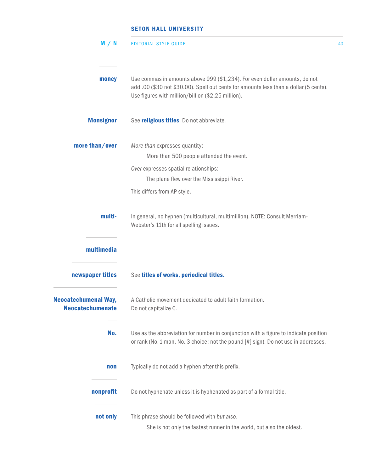| M / N                                                  | <b>EDITORIAL STYLE GUIDE</b>                                                                                                                                                                                              | 40 |
|--------------------------------------------------------|---------------------------------------------------------------------------------------------------------------------------------------------------------------------------------------------------------------------------|----|
| money                                                  | Use commas in amounts above 999 (\$1,234). For even dollar amounts, do not<br>add .00 (\$30 not \$30.00). Spell out cents for amounts less than a dollar (5 cents).<br>Use figures with million/billion (\$2.25 million). |    |
| <b>Monsignor</b>                                       | See religious titles. Do not abbreviate.                                                                                                                                                                                  |    |
| more than/over                                         | More than expresses quantity:<br>More than 500 people attended the event.<br>Over expresses spatial relationships:<br>The plane flew over the Mississippi River.<br>This differs from AP style.                           |    |
| multi-                                                 | In general, no hyphen (multicultural, multimillion). NOTE: Consult Merriam-<br>Webster's 11th for all spelling issues.                                                                                                    |    |
| multimedia<br>newspaper titles                         | See titles of works, periodical titles.                                                                                                                                                                                   |    |
| <b>Neocatechumenal Way,</b><br><b>Neocatechumenate</b> | A Catholic movement dedicated to adult faith formation.<br>Do not capitalize C.                                                                                                                                           |    |
| No.                                                    | Use as the abbreviation for number in conjunction with a figure to indicate position<br>or rank (No. 1 man, No. 3 choice; not the pound [#] sign). Do not use in addresses.                                               |    |
| non                                                    | Typically do not add a hyphen after this prefix.                                                                                                                                                                          |    |
| nonprofit                                              | Do not hyphenate unless it is hyphenated as part of a formal title.                                                                                                                                                       |    |
| not only                                               | This phrase should be followed with but also.<br>She is not only the fastest runner in the world, but also the oldest.                                                                                                    |    |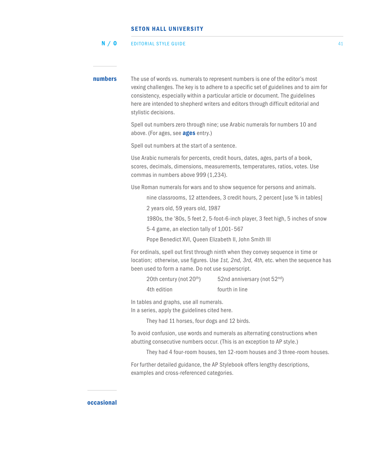#### EDITORIAL STYLE GUIDE 41 N / O

**numbers** The use of words vs. numerals to represent numbers is one of the editor's most vexing challenges. The key is to adhere to a specific set of guidelines and to aim for consistency, especially within a particular article or document. The guidelines here are intended to shepherd writers and editors through difficult editorial and stylistic decisions. Spell out numbers zero through nine; use Arabic numerals for numbers 10 and above. (For ages, see **ages** entry.) Spell out numbers at the start of a sentence. Use Arabic numerals for percents, credit hours, dates, ages, parts of a book, scores, decimals, dimensions, measurements, temperatures, ratios, votes. Use commas in numbers above 999 (1,234). Use Roman numerals for wars and to show sequence for persons and animals. nine classrooms, 12 attendees, 3 credit hours, 2 percent [use % in tables] 2 years old, 59 years old, 1987 1980s, the '80s, 5 feet 2, 5-foot-6-inch player, 3 feet high, 5 inches of snow 5-4 game, an election tally of 1,001- 567 Pope Benedict XVI, Queen Elizabeth II, John Smith III For ordinals, spell out first through ninth when they convey sequence in time or location; otherwise, use figures. Use *1st, 2nd, 3rd, 4th,* etc. when the sequence has been used to form a name. Do not use superscript. 20th century (not  $20^{th}$ ) 52nd anniversary (not  $52^{nd}$ ) 4th edition fourth in line In tables and graphs, use all numerals. In a series, apply the guidelines cited here. They had 11 horses, four dogs and 12 birds. To avoid confusion, use words and numerals as alternating constructions when abutting consecutive numbers occur. (This is an exception to AP style.) They had 4 four-room houses, ten 12-room houses and 3 three-room houses. For further detailed guidance, the AP Stylebook offers lengthy descriptions, examples and cross-referenced categories.

### occasional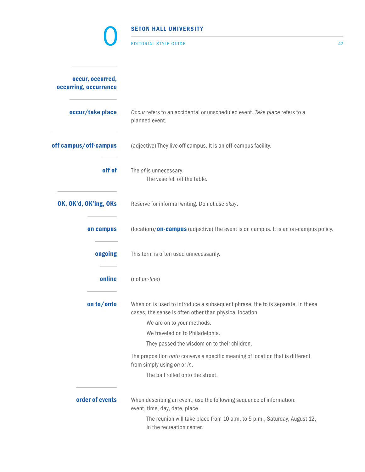|                                           | <b>SETON HALL UNIVERSITY</b>                                                                                                                                                                                                                                                                                                                |    |
|-------------------------------------------|---------------------------------------------------------------------------------------------------------------------------------------------------------------------------------------------------------------------------------------------------------------------------------------------------------------------------------------------|----|
|                                           | <b>EDITORIAL STYLE GUIDE</b>                                                                                                                                                                                                                                                                                                                | 42 |
| occur, occurred,<br>occurring, occurrence |                                                                                                                                                                                                                                                                                                                                             |    |
| occur/take place                          | Occur refers to an accidental or unscheduled event. Take place refers to a<br>planned event.                                                                                                                                                                                                                                                |    |
| off campus/off-campus                     | (adjective) They live off campus. It is an off-campus facility.                                                                                                                                                                                                                                                                             |    |
| off of                                    | The of is unnecessary.<br>The vase fell off the table.                                                                                                                                                                                                                                                                                      |    |
| OK, OK'd, OK'ing, OKs                     | Reserve for informal writing. Do not use okay.                                                                                                                                                                                                                                                                                              |    |
| on campus                                 | (location)/ <b>on-campus</b> (adjective) The event is on campus. It is an on-campus policy.                                                                                                                                                                                                                                                 |    |
| ongoing                                   | This term is often used unnecessarily.                                                                                                                                                                                                                                                                                                      |    |
| online                                    | (not on-line)                                                                                                                                                                                                                                                                                                                               |    |
| on to/onto                                | When on is used to introduce a subsequent phrase, the to is separate. In these<br>cases, the sense is often other than physical location.<br>We are on to your methods.<br>We traveled on to Philadelphia.<br>They passed the wisdom on to their children.<br>The preposition onto conveys a specific meaning of location that is different |    |
|                                           | from simply using on or in.<br>The ball rolled onto the street.                                                                                                                                                                                                                                                                             |    |
| order of events                           | When describing an event, use the following sequence of information:<br>event, time, day, date, place.<br>The reunion will take place from 10 a.m. to 5 p.m., Saturday, August 12,<br>in the recreation center.                                                                                                                             |    |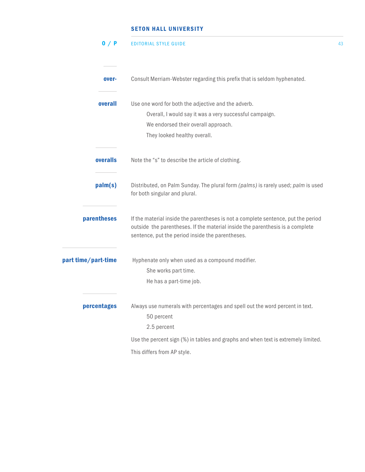| 0 / P               | <b>EDITORIAL STYLE GUIDE</b>                                                                                                                                                                                           | 43 |
|---------------------|------------------------------------------------------------------------------------------------------------------------------------------------------------------------------------------------------------------------|----|
| over-               | Consult Merriam-Webster regarding this prefix that is seldom hyphenated.                                                                                                                                               |    |
| overall             | Use one word for both the adjective and the adverb.<br>Overall, I would say it was a very successful campaign.<br>We endorsed their overall approach.<br>They looked healthy overall.                                  |    |
| overalls            | Note the "s" to describe the article of clothing.                                                                                                                                                                      |    |
| palm(s)             | Distributed, on Palm Sunday. The plural form (palms) is rarely used; palm is used<br>for both singular and plural.                                                                                                     |    |
| parentheses         | If the material inside the parentheses is not a complete sentence, put the period<br>outside the parentheses. If the material inside the parenthesis is a complete<br>sentence, put the period inside the parentheses. |    |
| part time/part-time | Hyphenate only when used as a compound modifier.<br>She works part time.<br>He has a part-time job.                                                                                                                    |    |
| percentages         | Always use numerals with percentages and spell out the word percent in text.<br>50 percent<br>2.5 percent                                                                                                              |    |
|                     | Use the percent sign (%) in tables and graphs and when text is extremely limited.                                                                                                                                      |    |
|                     | This differs from AP style.                                                                                                                                                                                            |    |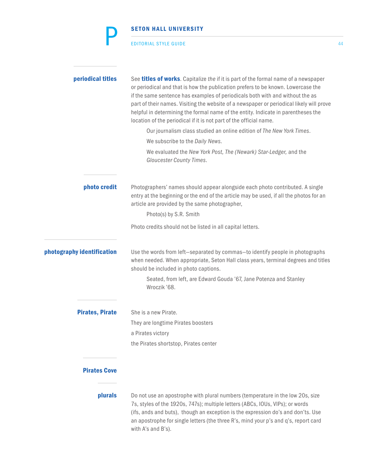|                            | <b>SETON HALL UNIVERSITY</b>                                                                                                                                                                                                                                                                                                                                                                                                                                                                                            |    |
|----------------------------|-------------------------------------------------------------------------------------------------------------------------------------------------------------------------------------------------------------------------------------------------------------------------------------------------------------------------------------------------------------------------------------------------------------------------------------------------------------------------------------------------------------------------|----|
|                            | <b>EDITORIAL STYLE GUIDE</b>                                                                                                                                                                                                                                                                                                                                                                                                                                                                                            | 44 |
| periodical titles          | See <b>titles of works</b> . Capitalize the if it is part of the formal name of a newspaper<br>or periodical and that is how the publication prefers to be known. Lowercase the<br>if the same sentence has examples of periodicals both with and without the as<br>part of their names. Visiting the website of a newspaper or periodical likely will prove<br>helpful in determining the formal name of the entity. Indicate in parentheses the<br>location of the periodical if it is not part of the official name. |    |
|                            | Our journalism class studied an online edition of The New York Times.                                                                                                                                                                                                                                                                                                                                                                                                                                                   |    |
|                            | We subscribe to the Daily News.                                                                                                                                                                                                                                                                                                                                                                                                                                                                                         |    |
|                            | We evaluated the New York Post, The (Newark) Star-Ledger, and the<br>Gloucester County Times.                                                                                                                                                                                                                                                                                                                                                                                                                           |    |
| photo credit               | Photographers' names should appear alongside each photo contributed. A single<br>entry at the beginning or the end of the article may be used, if all the photos for an<br>article are provided by the same photographer,                                                                                                                                                                                                                                                                                               |    |
|                            | Photo(s) by S.R. Smith                                                                                                                                                                                                                                                                                                                                                                                                                                                                                                  |    |
|                            | Photo credits should not be listed in all capital letters.                                                                                                                                                                                                                                                                                                                                                                                                                                                              |    |
| photography identification | Use the words from left-separated by commas-to identify people in photographs<br>when needed. When appropriate, Seton Hall class years, terminal degrees and titles<br>should be included in photo captions.                                                                                                                                                                                                                                                                                                            |    |
|                            | Seated, from left, are Edward Gouda '67, Jane Potenza and Stanley<br>Wroczik '68.                                                                                                                                                                                                                                                                                                                                                                                                                                       |    |
| <b>Pirates, Pirate</b>     | She is a new Pirate.                                                                                                                                                                                                                                                                                                                                                                                                                                                                                                    |    |
|                            | They are longtime Pirates boosters                                                                                                                                                                                                                                                                                                                                                                                                                                                                                      |    |
|                            | a Pirates victory                                                                                                                                                                                                                                                                                                                                                                                                                                                                                                       |    |
|                            | the Pirates shortstop, Pirates center                                                                                                                                                                                                                                                                                                                                                                                                                                                                                   |    |
| <b>Pirates Cove</b>        |                                                                                                                                                                                                                                                                                                                                                                                                                                                                                                                         |    |
| <b>plurals</b>             | Do not use an apostrophe with plural numbers (temperature in the low 20s, size<br>7s, styles of the 1920s, 747s); multiple letters (ABCs, IOUs, VIPs); or words<br>(ifs, ands and buts), though an exception is the expression do's and don'ts. Use<br>an apostrophe for single letters (the three R's, mind your p's and q's, report card<br>with A's and B's).                                                                                                                                                        |    |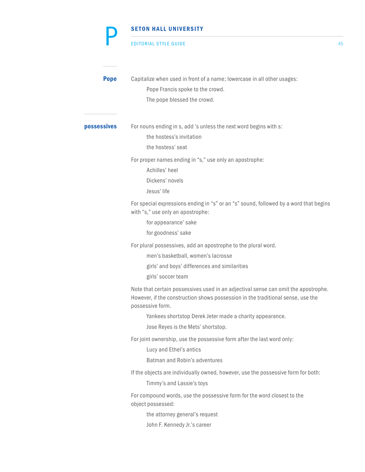#### EDITORIAL STYLE GUIDE 45

P

| <b>Pope</b>        | Capitalize when used in front of a name; lowercase in all other usages:<br>Pope Francis spoke to the crowd.<br>The pope blessed the crowd.                                                                                                                                                  |
|--------------------|---------------------------------------------------------------------------------------------------------------------------------------------------------------------------------------------------------------------------------------------------------------------------------------------|
| <b>possessives</b> | For nouns ending in s, add 's unless the next word begins with s:<br>the hostess's invitation<br>the hostess' seat                                                                                                                                                                          |
|                    | For proper names ending in "s," use only an apostrophe:<br>Achilles' heel<br>Dickens' novels<br>Jesus' life                                                                                                                                                                                 |
|                    | For special expressions ending in "s" or an "s" sound, followed by a word that begins<br>with "s," use only an apostrophe:<br>for appearance' sake<br>for goodness' sake                                                                                                                    |
|                    | For plural possessives, add an apostrophe to the plural word.<br>men's basketball, women's lacrosse<br>girls' and boys' differences and similarities<br>girls' soccer team                                                                                                                  |
|                    | Note that certain possessives used in an adjectival sense can omit the apostrophe.<br>However, if the construction shows possession in the traditional sense, use the<br>possessive form.<br>Yankees shortstop Derek Jeter made a charity appearance.<br>Jose Reyes is the Mets' shortstop. |
|                    | For joint ownership, use the possessive form after the last word only:<br>Lucy and Ethel's antics<br>Batman and Robin's adventures                                                                                                                                                          |
|                    | If the objects are individually owned, however, use the possessive form for both:<br>Timmy's and Lassie's toys                                                                                                                                                                              |
|                    | For compound words, use the possessive form for the word closest to the<br>object possessed:<br>the attorney general's request<br>John F. Kennedy Jr.'s career                                                                                                                              |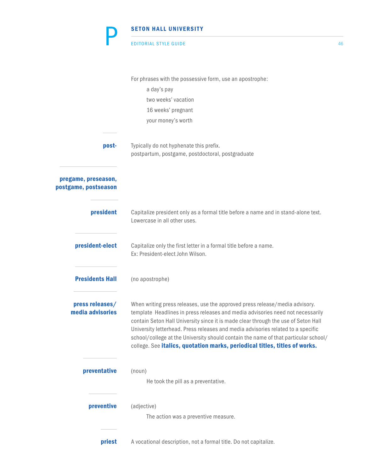|                                             | <b>SETON HALL UNIVERSITY</b>                                                                                                                                                                                                                                                                                                                                                                                                                                                                                 |    |
|---------------------------------------------|--------------------------------------------------------------------------------------------------------------------------------------------------------------------------------------------------------------------------------------------------------------------------------------------------------------------------------------------------------------------------------------------------------------------------------------------------------------------------------------------------------------|----|
|                                             | <b>EDITORIAL STYLE GUIDE</b>                                                                                                                                                                                                                                                                                                                                                                                                                                                                                 | 46 |
|                                             | For phrases with the possessive form, use an apostrophe:                                                                                                                                                                                                                                                                                                                                                                                                                                                     |    |
|                                             | a day's pay                                                                                                                                                                                                                                                                                                                                                                                                                                                                                                  |    |
|                                             | two weeks' vacation                                                                                                                                                                                                                                                                                                                                                                                                                                                                                          |    |
|                                             | 16 weeks' pregnant                                                                                                                                                                                                                                                                                                                                                                                                                                                                                           |    |
|                                             | your money's worth                                                                                                                                                                                                                                                                                                                                                                                                                                                                                           |    |
| post-                                       | Typically do not hyphenate this prefix.                                                                                                                                                                                                                                                                                                                                                                                                                                                                      |    |
|                                             | postpartum, postgame, postdoctoral, postgraduate                                                                                                                                                                                                                                                                                                                                                                                                                                                             |    |
| pregame, preseason,<br>postgame, postseason |                                                                                                                                                                                                                                                                                                                                                                                                                                                                                                              |    |
| president                                   | Capitalize president only as a formal title before a name and in stand-alone text.<br>Lowercase in all other uses.                                                                                                                                                                                                                                                                                                                                                                                           |    |
| president-elect                             | Capitalize only the first letter in a formal title before a name.<br>Ex: President-elect John Wilson.                                                                                                                                                                                                                                                                                                                                                                                                        |    |
| <b>Presidents Hall</b>                      | (no apostrophe)                                                                                                                                                                                                                                                                                                                                                                                                                                                                                              |    |
| press releases/<br>media advisories         | When writing press releases, use the approved press release/media advisory.<br>template Headlines in press releases and media advisories need not necessarily<br>contain Seton Hall University since it is made clear through the use of Seton Hall<br>University letterhead. Press releases and media advisories related to a specific<br>school/college at the University should contain the name of that particular school/<br>college. See italics, quotation marks, periodical titles, titles of works. |    |
| preventative                                | (noun)<br>He took the pill as a preventative.                                                                                                                                                                                                                                                                                                                                                                                                                                                                |    |
| preventive                                  | (adjective)                                                                                                                                                                                                                                                                                                                                                                                                                                                                                                  |    |
|                                             | The action was a preventive measure.                                                                                                                                                                                                                                                                                                                                                                                                                                                                         |    |
| priest                                      | A vocational description, not a formal title. Do not capitalize.                                                                                                                                                                                                                                                                                                                                                                                                                                             |    |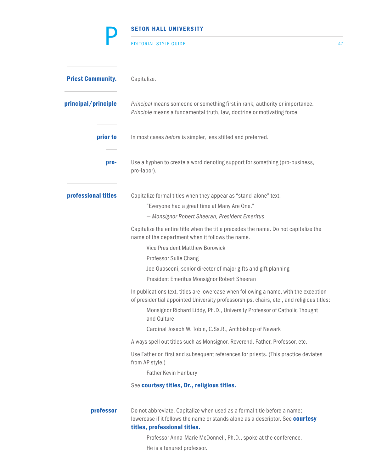|                          | <b>SETON HALL UNIVERSITY</b>                                                                                                                                                               |    |
|--------------------------|--------------------------------------------------------------------------------------------------------------------------------------------------------------------------------------------|----|
|                          | <b>EDITORIAL STYLE GUIDE</b>                                                                                                                                                               | 47 |
| <b>Priest Community.</b> | Capitalize.                                                                                                                                                                                |    |
| principal/principle      | Principal means someone or something first in rank, authority or importance.<br>Principle means a fundamental truth, law, doctrine or motivating force.                                    |    |
| prior to                 | In most cases before is simpler, less stilted and preferred.                                                                                                                               |    |
| pro-                     | Use a hyphen to create a word denoting support for something (pro-business,<br>pro-labor).                                                                                                 |    |
| professional titles      | Capitalize formal titles when they appear as "stand-alone" text.<br>"Everyone had a great time at Many Are One."<br>- Monsignor Robert Sheeran, President Emeritus                         |    |
|                          | Capitalize the entire title when the title precedes the name. Do not capitalize the<br>name of the department when it follows the name.                                                    |    |
|                          | <b>Vice President Matthew Borowick</b>                                                                                                                                                     |    |
|                          | <b>Professor Sulie Chang</b>                                                                                                                                                               |    |
|                          | Joe Guasconi, senior director of major gifts and gift planning<br>President Emeritus Monsignor Robert Sheeran                                                                              |    |
|                          | In publications text, titles are lowercase when following a name, with the exception<br>of presidential appointed University professorships, chairs, etc., and religious titles:           |    |
|                          | Monsignor Richard Liddy, Ph.D., University Professor of Catholic Thought<br>and Culture                                                                                                    |    |
|                          | Cardinal Joseph W. Tobin, C.Ss.R., Archbishop of Newark                                                                                                                                    |    |
|                          | Always spell out titles such as Monsignor, Reverend, Father, Professor, etc.                                                                                                               |    |
|                          | Use Father on first and subsequent references for priests. (This practice deviates<br>from AP style.)                                                                                      |    |
|                          | <b>Father Kevin Hanbury</b>                                                                                                                                                                |    |
|                          | See courtesy titles, Dr., religious titles.                                                                                                                                                |    |
| professor                | Do not abbreviate. Capitalize when used as a formal title before a name;<br>lowercase if it follows the name or stands alone as a descriptor. See courtesy<br>titles, professional titles. |    |
|                          | Professor Anna-Marie McDonnell, Ph.D., spoke at the conference.                                                                                                                            |    |
|                          | He is a tenured professor.                                                                                                                                                                 |    |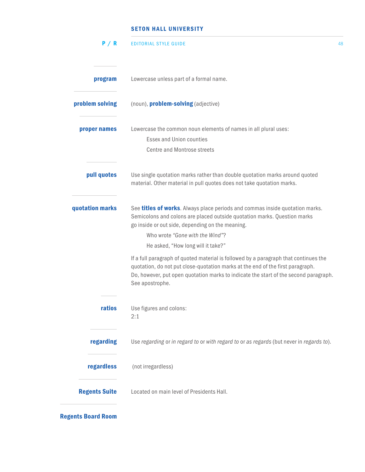| P/R                  | <b>EDITORIAL STYLE GUIDE</b>                                                                                                                                                                                                                                                          | 48 |
|----------------------|---------------------------------------------------------------------------------------------------------------------------------------------------------------------------------------------------------------------------------------------------------------------------------------|----|
| program              | Lowercase unless part of a formal name.                                                                                                                                                                                                                                               |    |
| problem solving      | (noun), problem-solving (adjective)                                                                                                                                                                                                                                                   |    |
| proper names         | Lowercase the common noun elements of names in all plural uses:<br><b>Essex and Union counties</b><br><b>Centre and Montrose streets</b>                                                                                                                                              |    |
| pull quotes          | Use single quotation marks rather than double quotation marks around quoted<br>material. Other material in pull quotes does not take quotation marks.                                                                                                                                 |    |
| quotation marks      | See titles of works. Always place periods and commas inside quotation marks.<br>Semicolons and colons are placed outside quotation marks. Question marks<br>go inside or out side, depending on the meaning.<br>Who wrote "Gone with the Wind"?<br>He asked, "How long will it take?" |    |
|                      | If a full paragraph of quoted material is followed by a paragraph that continues the<br>quotation, do not put close-quotation marks at the end of the first paragraph.<br>Do, however, put open quotation marks to indicate the start of the second paragraph.<br>See apostrophe.     |    |
| ratios               | Use figures and colons:<br>2:1                                                                                                                                                                                                                                                        |    |
| regarding            | Use regarding or in regard to or with regard to or as regards (but never in regards to).                                                                                                                                                                                              |    |
| regardless           | (not irregardless)                                                                                                                                                                                                                                                                    |    |
| <b>Regents Suite</b> | Located on main level of Presidents Hall.                                                                                                                                                                                                                                             |    |

Regents Board Room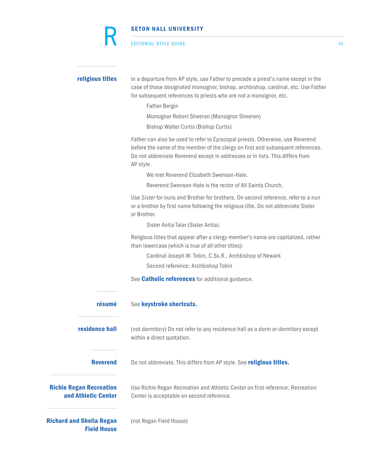|                                                       | <b>SETON HALL UNIVERSITY</b>                                                                                                                                                                                                                                                                                         |    |
|-------------------------------------------------------|----------------------------------------------------------------------------------------------------------------------------------------------------------------------------------------------------------------------------------------------------------------------------------------------------------------------|----|
|                                                       | <b>EDITORIAL STYLE GUIDE</b>                                                                                                                                                                                                                                                                                         | 49 |
| religious titles                                      | In a departure from AP style, use Father to precede a priest's name except in the<br>case of those designated monsignor, bishop, archbishop, cardinal, etc. Use Father<br>for subsequent references to priests who are not a monsignor, etc.<br><b>Father Bergin</b><br>Monsignor Robert Sheeran (Monsignor Sheeran) |    |
|                                                       | <b>Bishop Walter Curtis (Bishop Curtis)</b>                                                                                                                                                                                                                                                                          |    |
|                                                       | Father can also be used to refer to Episcopal priests. Otherwise, use Reverend<br>before the name of the member of the clergy on first and subsequent references.<br>Do not abbreviate Reverend except in addresses or in lists. This differs from<br>AP style.                                                      |    |
|                                                       | We met Reverend Elizabeth Swenson-Hale.                                                                                                                                                                                                                                                                              |    |
|                                                       | Reverend Swenson-Hale is the rector of All Saints Church.                                                                                                                                                                                                                                                            |    |
|                                                       | Use Sister for nuns and Brother for brothers. On second reference, refer to a nun<br>or a brother by first name following the religious title. Do not abbreviate Sister<br>or Brother.                                                                                                                               |    |
|                                                       | Sister Anita Talar (Sister Anita).                                                                                                                                                                                                                                                                                   |    |
|                                                       | Religious titles that appear after a clergy member's name are capitalized, rather<br>than lowercase (which is true of all other titles):                                                                                                                                                                             |    |
|                                                       | Cardinal Joseph W. Tobin, C.Ss.R., Archbishop of Newark<br>Second reference: Archbishop Tobin                                                                                                                                                                                                                        |    |
|                                                       | See <b>Catholic references</b> for additional guidance.                                                                                                                                                                                                                                                              |    |
| résumé                                                | See keystroke shortcuts.                                                                                                                                                                                                                                                                                             |    |
| residence hall                                        | (not dormitory) Do not refer to any residence hall as a dorm or dormitory except<br>within a direct quotation.                                                                                                                                                                                                       |    |
| <b>Reverend</b>                                       | Do not abbreviate. This differs from AP style. See religious titles.                                                                                                                                                                                                                                                 |    |
| <b>Richie Regan Recreation</b><br>and Athletic Center | Use Richie Regan Recreation and Athletic Center on first reference; Recreation<br>Center is acceptable on second reference.                                                                                                                                                                                          |    |
| <b>Richard and Sheila Regan</b><br><b>Field House</b> | (not Regan Field House)                                                                                                                                                                                                                                                                                              |    |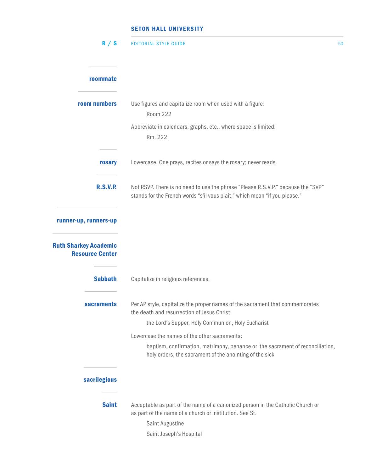| R / S                                                  | <b>EDITORIAL STYLE GUIDE</b>                                                                                                                                   | 50 |
|--------------------------------------------------------|----------------------------------------------------------------------------------------------------------------------------------------------------------------|----|
| roommate                                               |                                                                                                                                                                |    |
| room numbers                                           | Use figures and capitalize room when used with a figure:<br><b>Room 222</b>                                                                                    |    |
|                                                        | Abbreviate in calendars, graphs, etc., where space is limited:<br>Rm. 222                                                                                      |    |
| rosary                                                 | Lowercase. One prays, recites or says the rosary; never reads.                                                                                                 |    |
| <b>R.S.V.P.</b>                                        | Not RSVP. There is no need to use the phrase "Please R.S.V.P." because the "SVP"<br>stands for the French words "s'il vous plaît," which mean "if you please." |    |
| runner-up, runners-up                                  |                                                                                                                                                                |    |
| <b>Ruth Sharkey Academic</b><br><b>Resource Center</b> |                                                                                                                                                                |    |
| <b>Sabbath</b>                                         | Capitalize in religious references.                                                                                                                            |    |
| sacraments                                             | Per AP style, capitalize the proper names of the sacrament that commemorates<br>the death and resurrection of Jesus Christ:                                    |    |
|                                                        | the Lord's Supper, Holy Communion, Holy Eucharist                                                                                                              |    |
|                                                        | Lowercase the names of the other sacraments:                                                                                                                   |    |
|                                                        | baptism, confirmation, matrimony, penance or the sacrament of reconciliation,<br>holy orders, the sacrament of the anointing of the sick                       |    |
| sacrilegious                                           |                                                                                                                                                                |    |
| <b>Saint</b>                                           | Acceptable as part of the name of a canonized person in the Catholic Church or<br>as part of the name of a church or institution. See St.                      |    |
|                                                        | Saint Augustine                                                                                                                                                |    |
|                                                        | Saint Joseph's Hospital                                                                                                                                        |    |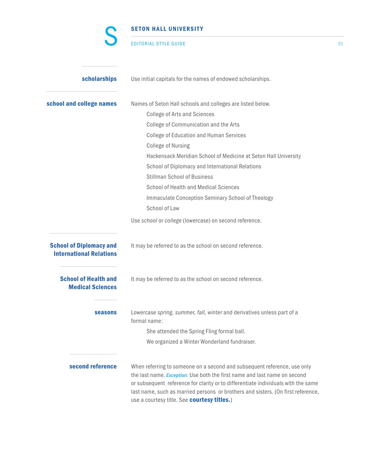|                                                                  | <b>SETON HALL UNIVERSITY</b>                                                                                                                                                                                                                                                                                                                                                  |    |
|------------------------------------------------------------------|-------------------------------------------------------------------------------------------------------------------------------------------------------------------------------------------------------------------------------------------------------------------------------------------------------------------------------------------------------------------------------|----|
|                                                                  | <b>EDITORIAL STYLE GUIDE</b>                                                                                                                                                                                                                                                                                                                                                  | 51 |
| scholarships                                                     | Use initial capitals for the names of endowed scholarships.                                                                                                                                                                                                                                                                                                                   |    |
| school and college names                                         | Names of Seton Hall schools and colleges are listed below.                                                                                                                                                                                                                                                                                                                    |    |
|                                                                  | <b>College of Arts and Sciences</b>                                                                                                                                                                                                                                                                                                                                           |    |
|                                                                  | College of Communication and the Arts                                                                                                                                                                                                                                                                                                                                         |    |
|                                                                  | <b>College of Education and Human Services</b>                                                                                                                                                                                                                                                                                                                                |    |
|                                                                  | <b>College of Nursing</b>                                                                                                                                                                                                                                                                                                                                                     |    |
|                                                                  | Hackensack Meridian School of Medicine at Seton Hall University                                                                                                                                                                                                                                                                                                               |    |
|                                                                  | School of Diplomacy and International Relations                                                                                                                                                                                                                                                                                                                               |    |
|                                                                  | <b>Stillman School of Business</b>                                                                                                                                                                                                                                                                                                                                            |    |
|                                                                  | School of Health and Medical Sciences                                                                                                                                                                                                                                                                                                                                         |    |
|                                                                  | Immaculate Conception Seminary School of Theology                                                                                                                                                                                                                                                                                                                             |    |
|                                                                  | School of Law                                                                                                                                                                                                                                                                                                                                                                 |    |
|                                                                  | Use school or college (lowercase) on second reference.                                                                                                                                                                                                                                                                                                                        |    |
| <b>School of Diplomacy and</b><br><b>International Relations</b> | It may be referred to as the school on second reference.                                                                                                                                                                                                                                                                                                                      |    |
| <b>School of Health and</b><br><b>Medical Sciences</b>           | It may be referred to as the school on second reference.                                                                                                                                                                                                                                                                                                                      |    |
| <b>seasons</b>                                                   | Lowercase spring, summer, fall, winter and derivatives unless part of a<br>formal name:                                                                                                                                                                                                                                                                                       |    |
|                                                                  | She attended the Spring Fling formal ball.                                                                                                                                                                                                                                                                                                                                    |    |
|                                                                  | We organized a Winter Wonderland fundraiser.                                                                                                                                                                                                                                                                                                                                  |    |
| second reference                                                 | When referring to someone on a second and subsequent reference, use only<br>the last name. Exception: Use both the first name and last name on second<br>or subsequent reference for clarity or to differentiate individuals with the same<br>last name, such as married persons or brothers and sisters. (On first reference,<br>use a courtesy title. See courtesy titles.) |    |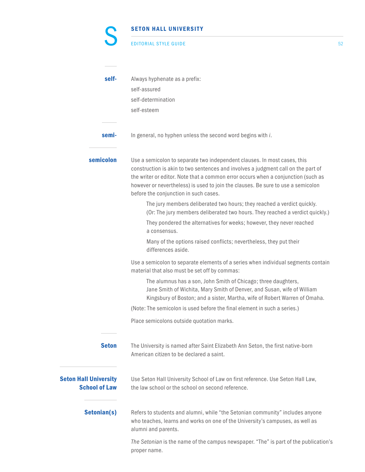| <b>EDITORIAL STYLE GUIDE</b> |  |
|------------------------------|--|
|                              |  |

C

| self-                                                | Always hyphenate as a prefix:<br>self-assured<br>self-determination<br>self-esteem                                                                                                                                                                                                                                                                                              |
|------------------------------------------------------|---------------------------------------------------------------------------------------------------------------------------------------------------------------------------------------------------------------------------------------------------------------------------------------------------------------------------------------------------------------------------------|
| semi-                                                | In general, no hyphen unless the second word begins with i.                                                                                                                                                                                                                                                                                                                     |
| semicolon                                            | Use a semicolon to separate two independent clauses. In most cases, this<br>construction is akin to two sentences and involves a judgment call on the part of<br>the writer or editor. Note that a common error occurs when a conjunction (such as<br>however or nevertheless) is used to join the clauses. Be sure to use a semicolon<br>before the conjunction in such cases. |
|                                                      | The jury members deliberated two hours; they reached a verdict quickly.<br>(Or: The jury members deliberated two hours. They reached a verdict quickly.)                                                                                                                                                                                                                        |
|                                                      | They pondered the alternatives for weeks; however, they never reached<br>a consensus.                                                                                                                                                                                                                                                                                           |
|                                                      | Many of the options raised conflicts; nevertheless, they put their<br>differences aside.                                                                                                                                                                                                                                                                                        |
|                                                      | Use a semicolon to separate elements of a series when individual segments contain<br>material that also must be set off by commas:                                                                                                                                                                                                                                              |
|                                                      | The alumnus has a son, John Smith of Chicago; three daughters,<br>Jane Smith of Wichita, Mary Smith of Denver, and Susan, wife of William<br>Kingsbury of Boston; and a sister, Martha, wife of Robert Warren of Omaha.                                                                                                                                                         |
|                                                      | (Note: The semicolon is used before the final element in such a series.)                                                                                                                                                                                                                                                                                                        |
|                                                      | Place semicolons outside quotation marks.                                                                                                                                                                                                                                                                                                                                       |
| <b>Seton</b>                                         | The University is named after Saint Elizabeth Ann Seton, the first native-born<br>American citizen to be declared a saint.                                                                                                                                                                                                                                                      |
| <b>Seton Hall University</b><br><b>School of Law</b> | Use Seton Hall University School of Law on first reference. Use Seton Hall Law,<br>the law school or the school on second reference.                                                                                                                                                                                                                                            |
| Setonian(s)                                          | Refers to students and alumni, while "the Setonian community" includes anyone<br>who teaches, learns and works on one of the University's campuses, as well as<br>alumni and parents.                                                                                                                                                                                           |
|                                                      | The Setonian is the name of the campus newspaper. "The" is part of the publication's<br>proper name.                                                                                                                                                                                                                                                                            |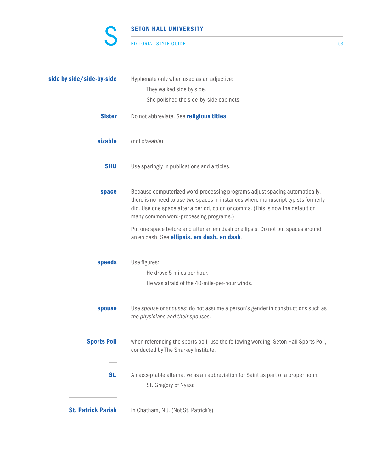#### EDITORIAL STYLE GUIDE 53

C

| side by side/side-by-side | Hyphenate only when used as an adjective:                                                                                                                                                                                                                                                    |
|---------------------------|----------------------------------------------------------------------------------------------------------------------------------------------------------------------------------------------------------------------------------------------------------------------------------------------|
|                           | They walked side by side.                                                                                                                                                                                                                                                                    |
|                           | She polished the side-by-side cabinets.                                                                                                                                                                                                                                                      |
| <b>Sister</b>             | Do not abbreviate. See religious titles.                                                                                                                                                                                                                                                     |
| sizable                   | (not sizeable)                                                                                                                                                                                                                                                                               |
| <b>SHU</b>                | Use sparingly in publications and articles.                                                                                                                                                                                                                                                  |
| space                     | Because computerized word-processing programs adjust spacing automatically,<br>there is no need to use two spaces in instances where manuscript typists formerly<br>did. Use one space after a period, colon or comma. (This is now the default on<br>many common word-processing programs.) |
|                           | Put one space before and after an em dash or ellipsis. Do not put spaces around<br>an en dash. See ellipsis, em dash, en dash.                                                                                                                                                               |
| speeds                    | Use figures:                                                                                                                                                                                                                                                                                 |
|                           | He drove 5 miles per hour.                                                                                                                                                                                                                                                                   |
|                           | He was afraid of the 40-mile-per-hour winds.                                                                                                                                                                                                                                                 |
| spouse                    | Use spouse or spouses; do not assume a person's gender in constructions such as<br>the physicians and their spouses.                                                                                                                                                                         |
| <b>Sports Poll</b>        | when referencing the sports poll, use the following wording: Seton Hall Sports Poll,<br>conducted by The Sharkey Institute.                                                                                                                                                                  |
| St.                       | An acceptable alternative as an abbreviation for Saint as part of a proper noun.<br>St. Gregory of Nyssa                                                                                                                                                                                     |
| <b>St. Patrick Parish</b> | In Chatham, N.J. (Not St. Patrick's)                                                                                                                                                                                                                                                         |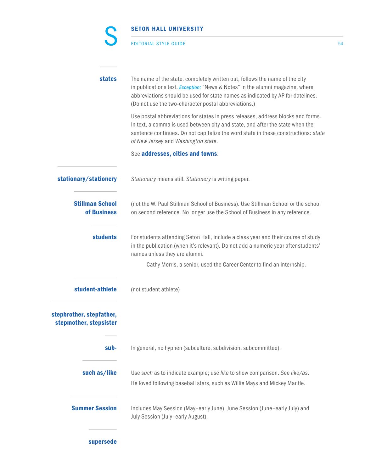|                                                    | <b>SETON HALL UNIVERSITY</b>                                                                                                                                                                                                                                                                           |    |
|----------------------------------------------------|--------------------------------------------------------------------------------------------------------------------------------------------------------------------------------------------------------------------------------------------------------------------------------------------------------|----|
|                                                    | <b>EDITORIAL STYLE GUIDE</b>                                                                                                                                                                                                                                                                           | 54 |
| <b>states</b>                                      | The name of the state, completely written out, follows the name of the city<br>in publications text. Exception: "News & Notes" in the alumni magazine, where<br>abbreviations should be used for state names as indicated by AP for datelines.<br>(Do not use the two-character postal abbreviations.) |    |
|                                                    | Use postal abbreviations for states in press releases, address blocks and forms.<br>In text, a comma is used between city and state, and after the state when the<br>sentence continues. Do not capitalize the word state in these constructions: state<br>of New Jersey and Washington state.         |    |
|                                                    | See addresses, cities and towns.                                                                                                                                                                                                                                                                       |    |
| stationary/stationery                              | Stationary means still. Stationery is writing paper.                                                                                                                                                                                                                                                   |    |
| <b>Stillman School</b><br>of Business              | (not the W. Paul Stillman School of Business). Use Stillman School or the school<br>on second reference. No longer use the School of Business in any reference.                                                                                                                                        |    |
| <b>students</b>                                    | For students attending Seton Hall, include a class year and their course of study<br>in the publication (when it's relevant). Do not add a numeric year after students'<br>names unless they are alumni.                                                                                               |    |
|                                                    | Cathy Morris, a senior, used the Career Center to find an internship.                                                                                                                                                                                                                                  |    |
| student-athlete                                    | (not student athlete)                                                                                                                                                                                                                                                                                  |    |
| stepbrother, stepfather,<br>stepmother, stepsister |                                                                                                                                                                                                                                                                                                        |    |
| sub-                                               | In general, no hyphen (subculture, subdivision, subcommittee).                                                                                                                                                                                                                                         |    |
| such as/like                                       | Use such as to indicate example; use like to show comparison. See like/as.<br>He loved following baseball stars, such as Willie Mays and Mickey Mantle.                                                                                                                                                |    |
| <b>Summer Session</b>                              | Includes May Session (May-early June), June Session (June-early July) and<br>July Session (July-early August).                                                                                                                                                                                         |    |
| supersede                                          |                                                                                                                                                                                                                                                                                                        |    |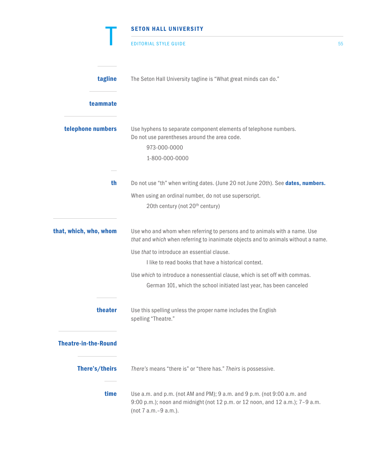|                             | <b>SETON HALL UNIVERSITY</b>                                                                                                                                                       |    |
|-----------------------------|------------------------------------------------------------------------------------------------------------------------------------------------------------------------------------|----|
|                             | <b>EDITORIAL STYLE GUIDE</b>                                                                                                                                                       | 55 |
| tagline                     | The Seton Hall University tagline is "What great minds can do."                                                                                                                    |    |
| teammate                    |                                                                                                                                                                                    |    |
| telephone numbers           | Use hyphens to separate component elements of telephone numbers.<br>Do not use parentheses around the area code.<br>973-000-0000<br>1-800-000-0000                                 |    |
| th                          | Do not use "th" when writing dates. (June 20 not June 20th). See dates, numbers.                                                                                                   |    |
|                             | When using an ordinal number, do not use superscript.<br>20th century (not 20 <sup>th</sup> century)                                                                               |    |
| that, which, who, whom      | Use who and whom when referring to persons and to animals with a name. Use<br>that and which when referring to inanimate objects and to animals without a name.                    |    |
|                             | Use that to introduce an essential clause.                                                                                                                                         |    |
|                             | I like to read books that have a historical context.                                                                                                                               |    |
|                             | Use which to introduce a nonessential clause, which is set off with commas.                                                                                                        |    |
|                             | German 101, which the school initiated last year, has been canceled                                                                                                                |    |
| theater                     | Use this spelling unless the proper name includes the English<br>spelling "Theatre."                                                                                               |    |
| <b>Theatre-in-the-Round</b> |                                                                                                                                                                                    |    |
| There's/theirs              | There's means "there is" or "there has." Theirs is possessive.                                                                                                                     |    |
| time                        | Use a.m. and p.m. (not AM and PM); 9 a.m. and 9 p.m. (not 9:00 a.m. and<br>9:00 p.m.); noon and midnight (not 12 p.m. or 12 noon, and 12 a.m.); 7-9 a.m.<br>(not 7 a.m. - 9 a.m.). |    |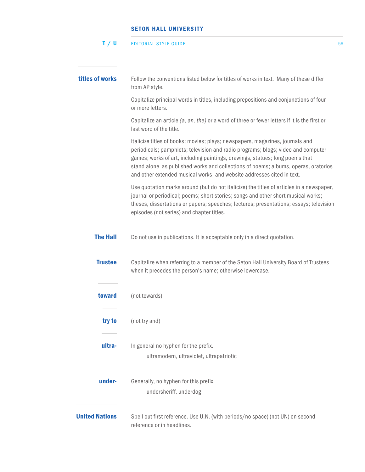#### $\textsf{T}$  /  $\textsf{U}$  is a control of the state of the state of the state of the state of the state of the state of the state of the state of the state of the state of the state of the state of the state of the state of the

| titles of works       | Follow the conventions listed below for titles of works in text. Many of these differ<br>from AP style.                                                                                                                                                                                                                                                                                                           |
|-----------------------|-------------------------------------------------------------------------------------------------------------------------------------------------------------------------------------------------------------------------------------------------------------------------------------------------------------------------------------------------------------------------------------------------------------------|
|                       | Capitalize principal words in titles, including prepositions and conjunctions of four<br>or more letters.                                                                                                                                                                                                                                                                                                         |
|                       | Capitalize an article (a, an, the) or a word of three or fewer letters if it is the first or<br>last word of the title.                                                                                                                                                                                                                                                                                           |
|                       | Italicize titles of books; movies; plays; newspapers, magazines, journals and<br>periodicals; pamphlets; television and radio programs; blogs; video and computer<br>games; works of art, including paintings, drawings, statues; long poems that<br>stand alone as published works and collections of poems; albums, operas, oratorios<br>and other extended musical works; and website addresses cited in text. |
|                       | Use quotation marks around (but do not italicize) the titles of articles in a newspaper,<br>journal or periodical; poems; short stories; songs and other short musical works;<br>theses, dissertations or papers; speeches; lectures; presentations; essays; television<br>episodes (not series) and chapter titles.                                                                                              |
| <b>The Hall</b>       | Do not use in publications. It is acceptable only in a direct quotation.                                                                                                                                                                                                                                                                                                                                          |
| <b>Trustee</b>        | Capitalize when referring to a member of the Seton Hall University Board of Trustees<br>when it precedes the person's name; otherwise lowercase.                                                                                                                                                                                                                                                                  |
| toward                | (not towards)                                                                                                                                                                                                                                                                                                                                                                                                     |
| try to                | (not try and)                                                                                                                                                                                                                                                                                                                                                                                                     |
| ultra-                | In general no hyphen for the prefix.<br>ultramodern, ultraviolet, ultrapatriotic                                                                                                                                                                                                                                                                                                                                  |
| under-                | Generally, no hyphen for this prefix.<br>undersheriff, underdog                                                                                                                                                                                                                                                                                                                                                   |
| <b>United Nations</b> | Spell out first reference. Use U.N. (with periods/no space) (not UN) on second<br>reference or in headlines.                                                                                                                                                                                                                                                                                                      |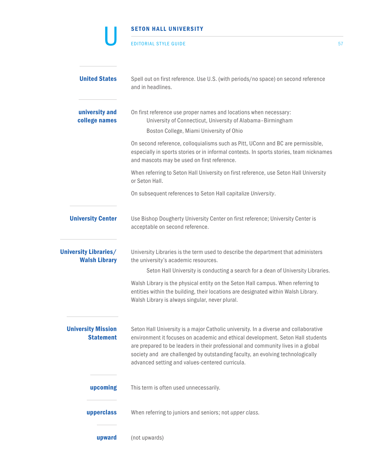|                                                      | <b>SETON HALL UNIVERSITY</b>                                                                                                                                                                                                                                                                                                                                                                     |    |
|------------------------------------------------------|--------------------------------------------------------------------------------------------------------------------------------------------------------------------------------------------------------------------------------------------------------------------------------------------------------------------------------------------------------------------------------------------------|----|
|                                                      | <b>EDITORIAL STYLE GUIDE</b>                                                                                                                                                                                                                                                                                                                                                                     | 57 |
| <b>United States</b>                                 | Spell out on first reference. Use U.S. (with periods/no space) on second reference<br>and in headlines.                                                                                                                                                                                                                                                                                          |    |
| university and<br>college names                      | On first reference use proper names and locations when necessary:<br>University of Connecticut, University of Alabama-Birmingham<br>Boston College, Miami University of Ohio                                                                                                                                                                                                                     |    |
|                                                      | On second reference, colloquialisms such as Pitt, UConn and BC are permissible,<br>especially in sports stories or in informal contexts. In sports stories, team nicknames<br>and mascots may be used on first reference.                                                                                                                                                                        |    |
|                                                      | When referring to Seton Hall University on first reference, use Seton Hall University<br>or Seton Hall.                                                                                                                                                                                                                                                                                          |    |
|                                                      | On subsequent references to Seton Hall capitalize University.                                                                                                                                                                                                                                                                                                                                    |    |
| <b>University Center</b>                             | Use Bishop Dougherty University Center on first reference; University Center is<br>acceptable on second reference.                                                                                                                                                                                                                                                                               |    |
| <b>University Libraries/</b><br><b>Walsh Library</b> | University Libraries is the term used to describe the department that administers<br>the university's academic resources.                                                                                                                                                                                                                                                                        |    |
|                                                      | Seton Hall University is conducting a search for a dean of University Libraries.                                                                                                                                                                                                                                                                                                                 |    |
|                                                      | Walsh Library is the physical entity on the Seton Hall campus. When referring to<br>entities within the building, their locations are designated within Walsh Library.<br>Walsh Library is always singular, never plural.                                                                                                                                                                        |    |
| <b>University Mission</b><br><b>Statement</b>        | Seton Hall University is a major Catholic university. In a diverse and collaborative<br>environment it focuses on academic and ethical development. Seton Hall students<br>are prepared to be leaders in their professional and community lives in a global<br>society and are challenged by outstanding faculty, an evolving technologically<br>advanced setting and values-centered curricula. |    |
| upcoming                                             | This term is often used unnecessarily.                                                                                                                                                                                                                                                                                                                                                           |    |
| upperclass                                           | When referring to juniors and seniors; not upper class.                                                                                                                                                                                                                                                                                                                                          |    |
| upward                                               | (not upwards)                                                                                                                                                                                                                                                                                                                                                                                    |    |

 $\sim$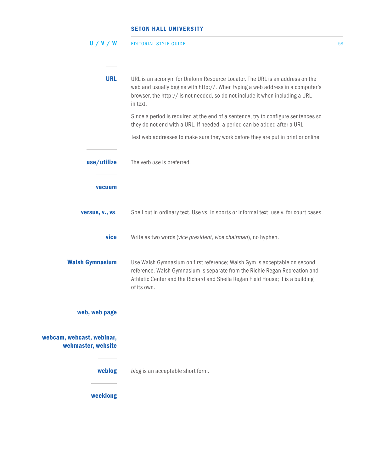|  |  | U / V / W | <b>EDITORIAL STYLE GUIDE</b> |  |
|--|--|-----------|------------------------------|--|
|--|--|-----------|------------------------------|--|

| <b>URL</b>                                      | URL is an acronym for Uniform Resource Locator. The URL is an address on the<br>web and usually begins with http://. When typing a web address in a computer's<br>browser, the http:// is not needed, so do not include it when including a URL<br>in text. |
|-------------------------------------------------|-------------------------------------------------------------------------------------------------------------------------------------------------------------------------------------------------------------------------------------------------------------|
|                                                 | Since a period is required at the end of a sentence, try to configure sentences so<br>they do not end with a URL. If needed, a period can be added after a URL.                                                                                             |
|                                                 | Test web addresses to make sure they work before they are put in print or online.                                                                                                                                                                           |
| use/utilize                                     | The verb use is preferred.                                                                                                                                                                                                                                  |
| vacuum                                          |                                                                                                                                                                                                                                                             |
| versus, v., vs.                                 | Spell out in ordinary text. Use vs. in sports or informal text; use v. for court cases.                                                                                                                                                                     |
| vice                                            | Write as two words (vice president, vice chairman), no hyphen.                                                                                                                                                                                              |
| <b>Walsh Gymnasium</b>                          | Use Walsh Gymnasium on first reference; Walsh Gym is acceptable on second<br>reference. Walsh Gymnasium is separate from the Richie Regan Recreation and<br>Athletic Center and the Richard and Sheila Regan Field House; it is a building<br>of its own.   |
| web, web page                                   |                                                                                                                                                                                                                                                             |
| webcam, webcast, webinar,<br>webmaster, website |                                                                                                                                                                                                                                                             |
| weblog                                          | blog is an acceptable short form.                                                                                                                                                                                                                           |
| weeklong                                        |                                                                                                                                                                                                                                                             |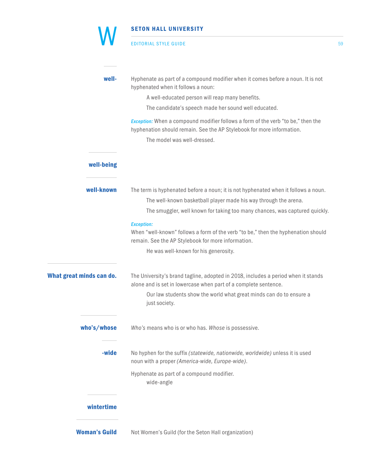# SETON HALL UNIVERSITY EDITORIAL STYLE GUIDE 59 well-<br>**well-** Hyphenate as part of a compound modifier when it comes before a noun. It is not hyphenated when it follows a noun: A well-educated person will reap many benefits. The candidate's speech made her sound well educated. *Exception:* When a compound modifier follows a form of the verb "to be," then the hyphenation should remain. See the AP Stylebook for more information. The model was well-dressed. well-being well-known The term is hyphenated before a noun; it is not hyphenated when it follows a noun. The well-known basketball player made his way through the arena. The smuggler, well known for taking too many chances, was captured quickly.  *Exception:* When "well-known" follows a form of the verb "to be," then the hyphenation should remain. See the AP Stylebook for more information. He was well-known for his generosity. What great minds can do. The University's brand tagline, adopted in 2018, includes a period when it stands alone and is set in lowercase when part of a complete sentence. Our law students show the world what great minds can do to ensure a just society. who's/whose *Who's* means who is or who has. *Whose* is possessive. W

-wide No hyphen for the suffix *(statewide, nationwide, worldwide)* unless it is used noun with a proper *(America-wide, Europe-wide)*.

> Hyphenate as part of a compound modifier. wide-angle

### wintertime

**Woman's Guild** Not Women's Guild (for the Seton Hall organization)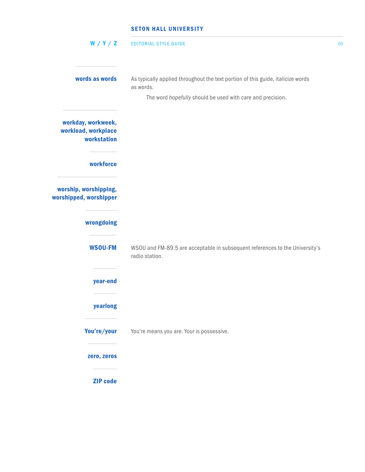| W/Y/Z                                                    | <b>EDITORIAL STYLE GUIDE</b>                                                                                                                               | 60 |
|----------------------------------------------------------|------------------------------------------------------------------------------------------------------------------------------------------------------------|----|
| words as words                                           | As typically applied throughout the text portion of this guide, italicize words<br>as words.<br>The word hopefully should be used with care and precision. |    |
| workday, workweek,<br>workload, workplace<br>workstation |                                                                                                                                                            |    |
| workforce                                                |                                                                                                                                                            |    |
| worship, worshipping,<br>worshipped, worshipper          |                                                                                                                                                            |    |
| wrongdoing                                               |                                                                                                                                                            |    |
| <b>WSOU-FM</b>                                           | WSOU and FM-89.5 are acceptable in subsequent references to the University's<br>radio station.                                                             |    |
| year-end                                                 |                                                                                                                                                            |    |
| yearlong                                                 |                                                                                                                                                            |    |
| You're/your                                              | You're means you are. Your is possessive.                                                                                                                  |    |
| zero, zeros                                              |                                                                                                                                                            |    |
| <b>ZIP</b> code                                          |                                                                                                                                                            |    |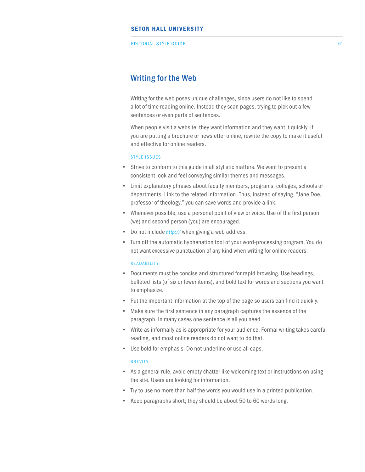EDITORIAL STYLE GUIDE 61 CONTROL CONTROL CONTROL CONTROL CONTROL CONTROL CONTROL CONTROL CONTROL CONTROL CONTROL CONTROL CONTROL CONTROL CONTROL CONTROL CONTROL CONTROL CONTROL CONTROL CONTROL CONTROL CONTROL CONTROL CONTR

## Writing for the Web

Writing for the web poses unique challenges, since users do not like to spend a lot of time reading online. Instead they scan pages, trying to pick out a few sentences or even parts of sentences.

When people visit a website, they want information and they want it quickly. If you are putting a brochure or newsletter online, rewrite the copy to make it useful and effective for online readers.

#### STYLE ISSUES

- Strive to conform to this guide in all stylistic matters. We want to present a consistent look and feel conveying similar themes and messages.
- Limit explanatory phrases about faculty members, programs, colleges, schools or departments. Link to the related information. Thus, instead of saying, "Jane Doe, professor of theology," you can save words and provide a link.
- Whenever possible, use a personal point of view or voice. Use of the first person (we) and second person (you) are encouraged.
- Do not include *http://* when giving a web address.
- Turn off the automatic hyphenation tool of your word-processing program. You do not want excessive punctuation of any kind when writing for online readers.

#### **READABILITY**

- Documents must be concise and structured for rapid browsing. Use headings, bulleted lists (of six or fewer items), and bold text for words and sections you want to emphasize.
- Put the important information at the top of the page so users can find it quickly.
- Make sure the first sentence in any paragraph captures the essence of the paragraph. In many cases one sentence is all you need.
- Write as informally as is appropriate for your audience. Formal writing takes careful reading, and most online readers do not want to do that.
- Use bold for emphasis. Do not underline or use all caps.

#### **BREVITY**

- As a general rule, avoid empty chatter like welcoming text or instructions on using the site. Users are looking for information.
- Try to use no more than half the words you would use in a printed publication.
- Keep paragraphs short; they should be about 50 to 60 words long.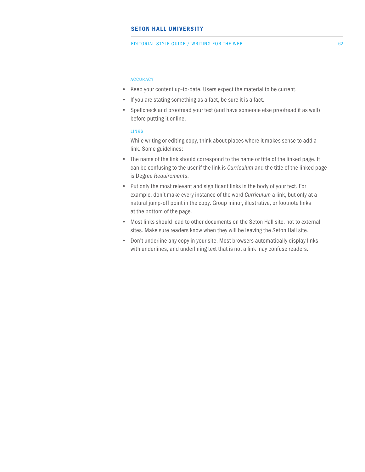#### EDITORIAL STYLE GUIDE / WRITING FOR THE WEB

#### ACCURACY

- Keep your content up-to-date. Users expect the material to be current.
- If you are stating something as a fact, be sure it is a fact.
- Spellcheck and proofread your text (and have someone else proofread it as well) before putting it online.

#### LINKS

While writing or editing copy, think about places where it makes sense to add a link. Some guidelines:

- The name of the link should correspond to the name or title of the linked page. It can be confusing to the user if the link is *Curriculum* and the title of the linked page is Degree *Requirements*.
- Put only the most relevant and significant links in the body of your text. For example, don't make every instance of the word *Curriculum* a link, but only at a natural jump-off point in the copy. Group minor, illustrative, or footnote links at the bottom of the page.
- Most links should lead to other documents on the Seton Hall site, not to external sites. Make sure readers know when they will be leaving the Seton Hall site.
- Don't underline any copy in your site. Most browsers automatically display links with underlines, and underlining text that is not a link may confuse readers.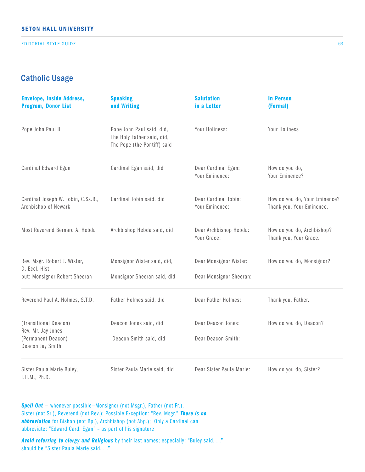EDITORIAL STYLE GUIDE

# Catholic Usage

| <b>Envelope, Inside Address,</b><br><b>Program, Donor List</b>                        | <b>Speaking</b><br>and Writing                                                         | <b>Salutation</b><br>in a Letter                  | <b>In Person</b><br>(Formal)                               |
|---------------------------------------------------------------------------------------|----------------------------------------------------------------------------------------|---------------------------------------------------|------------------------------------------------------------|
| Pope John Paul II                                                                     | Pope John Paul said, did,<br>The Holy Father said, did,<br>The Pope (the Pontiff) said | Your Holiness:                                    | Your Holiness                                              |
| Cardinal Edward Egan                                                                  | Cardinal Egan said, did                                                                | Dear Cardinal Egan:<br>Your Eminence:             | How do you do,<br>Your Eminence?                           |
| Cardinal Joseph W. Tobin, C.Ss.R.,<br>Archbishop of Newark                            | Cardinal Tobin said, did                                                               | Dear Cardinal Tobin:<br>Your Eminence:            | How do you do, Your Eminence?<br>Thank you, Your Eminence. |
| Most Reverend Bernard A. Hebda                                                        | Archbishop Hebda said, did                                                             | Dear Archbishop Hebda:<br>Your Grace:             | How do you do, Archbishop?<br>Thank you, Your Grace.       |
| Rev. Msgr. Robert J. Wister,<br>D. Eccl. Hist.<br>but: Monsignor Robert Sheeran       | Monsignor Wister said, did,<br>Monsignor Sheeran said, did                             | Dear Monsignor Wister:<br>Dear Monsignor Sheeran: | How do you do, Monsignor?                                  |
| Reverend Paul A. Holmes, S.T.D.                                                       | Father Holmes said, did                                                                | Dear Father Holmes:                               | Thank you, Father.                                         |
| (Transitional Deacon)<br>Rev. Mr. Jay Jones<br>(Permanent Deacon)<br>Deacon Jay Smith | Deacon Jones said, did<br>Deacon Smith said, did                                       | Dear Deacon Jones:<br>Dear Deacon Smith:          | How do you do, Deacon?                                     |
| Sister Paula Marie Buley,                                                             | Sister Paula Marie said, did                                                           | Dear Sister Paula Marie:                          | How do you do, Sister?                                     |

I.H.M., Ph.D.

**Spell Out** – whenever possible–Monsignor (not Msgr.), Father (not Fr.), Sister (not Sr.), Reverend (not Rev.); Possible Exception: "Rev. Msgr." *There is no abbreviation* for Bishop (not Bp.), Archbishop (not Abp.); Only a Cardinal can abbreviate: "Edward Card. Egan" – as part of his signature

*Avoid referring to clergy and Religious* by their last names; especially: "Buley said. . ." should be "Sister Paula Marie said. . ."